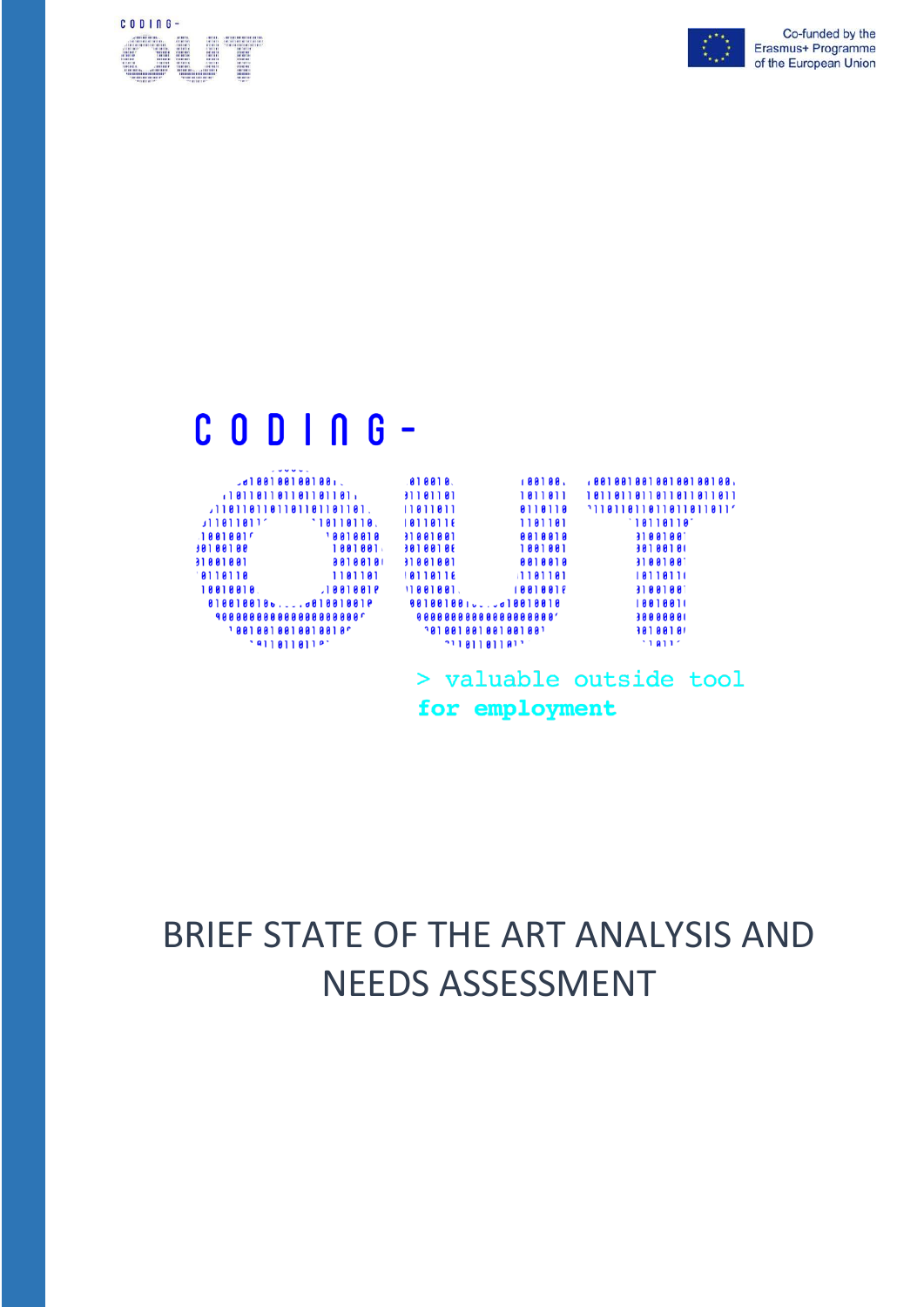



# $C$  0 D |  $\cap$  G -

| $J_0$   881881881881.                                                                      | 188188.                | ,88188188188188188,      |
|--------------------------------------------------------------------------------------------|------------------------|--------------------------|
|                                                                                            | 1811811                | 1811811811811811811      |
| 11811811811811811811811.                                                                   | 8118118<br>11811811    | $11811811811811811911'$  |
| $11811811^{\circ}$<br>$\begin{array}{c} \textbf{18} \textbf{118} \textbf{118} \end{array}$ | 1101101<br>10110116    | $\lceil 10110110 \rceil$ |
| <b>18818818</b><br>$1001001f$                                                              | 8818818<br>11001001    | 31881881                 |
| 1001001<br>98188188                                                                        | 1001001<br>30100106    | 30100101                 |
| 88188181<br>31001001                                                                       | 0010010<br>31001001    | 31001001                 |
| 8110110<br>1181181                                                                         | 10110116<br>1181181    | 10110111                 |
| 10010010<br>$1881881$ $81932$                                                              | 11001001.<br>18818818  | 31881881                 |
| 01001001000010010010                                                                       | 00100100100.0010010010 | 18818811                 |
| 9888888888888888888                                                                        | 00000000000000000000   | 38888881                 |
| $1 8 8 1 8 8 1 8 8 1 8 8 1 8 8 1 8 0$                                                      |                        | 1010010                  |
| '                                                                                          | $\cdot$ יומן ומוני     | 118117                   |
|                                                                                            |                        |                          |

> valuable outside tool for employment

# BRIEF STATE OF THE ART ANALYSIS AND NEEDS ASSESSMENT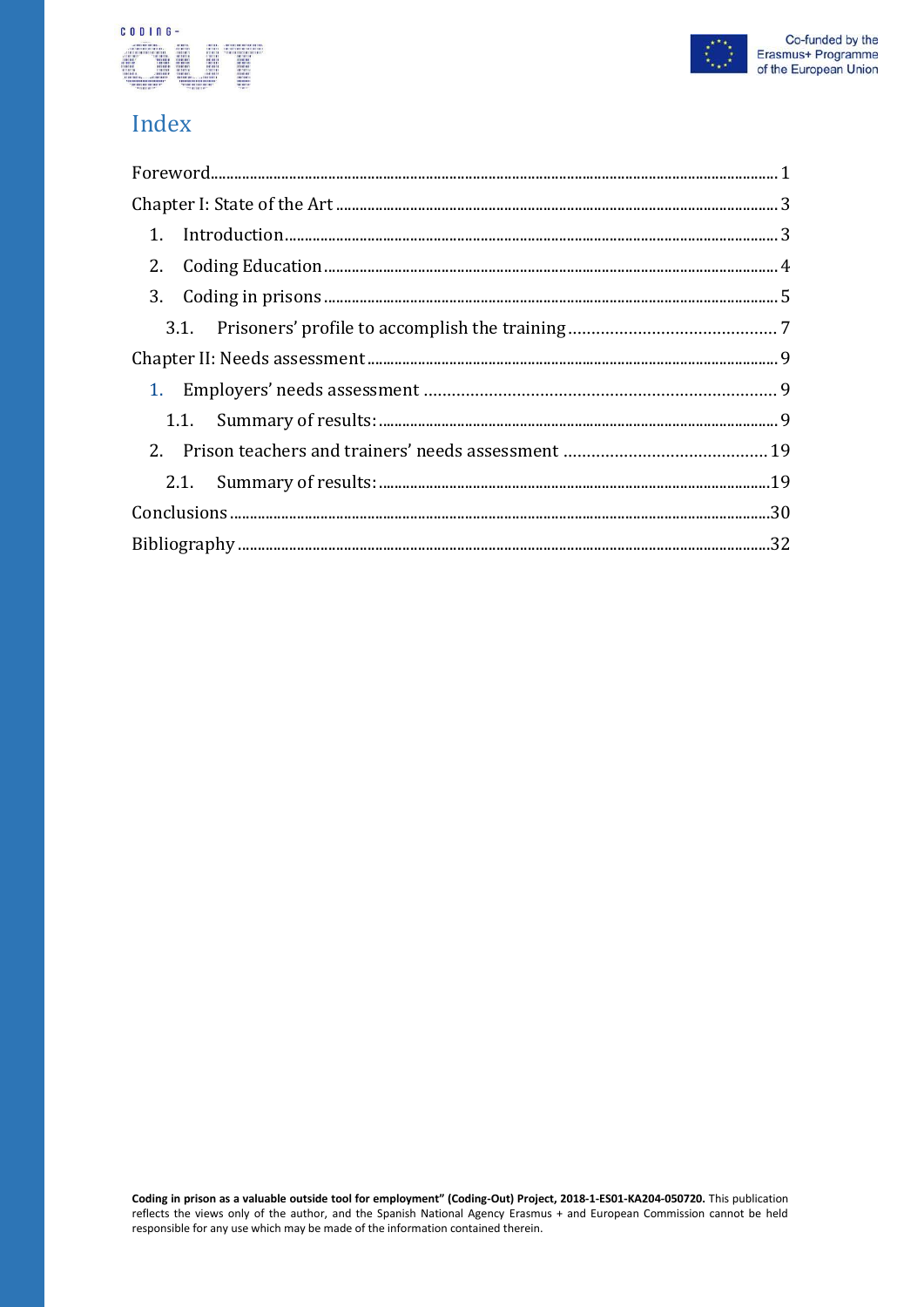### CODING-



## Index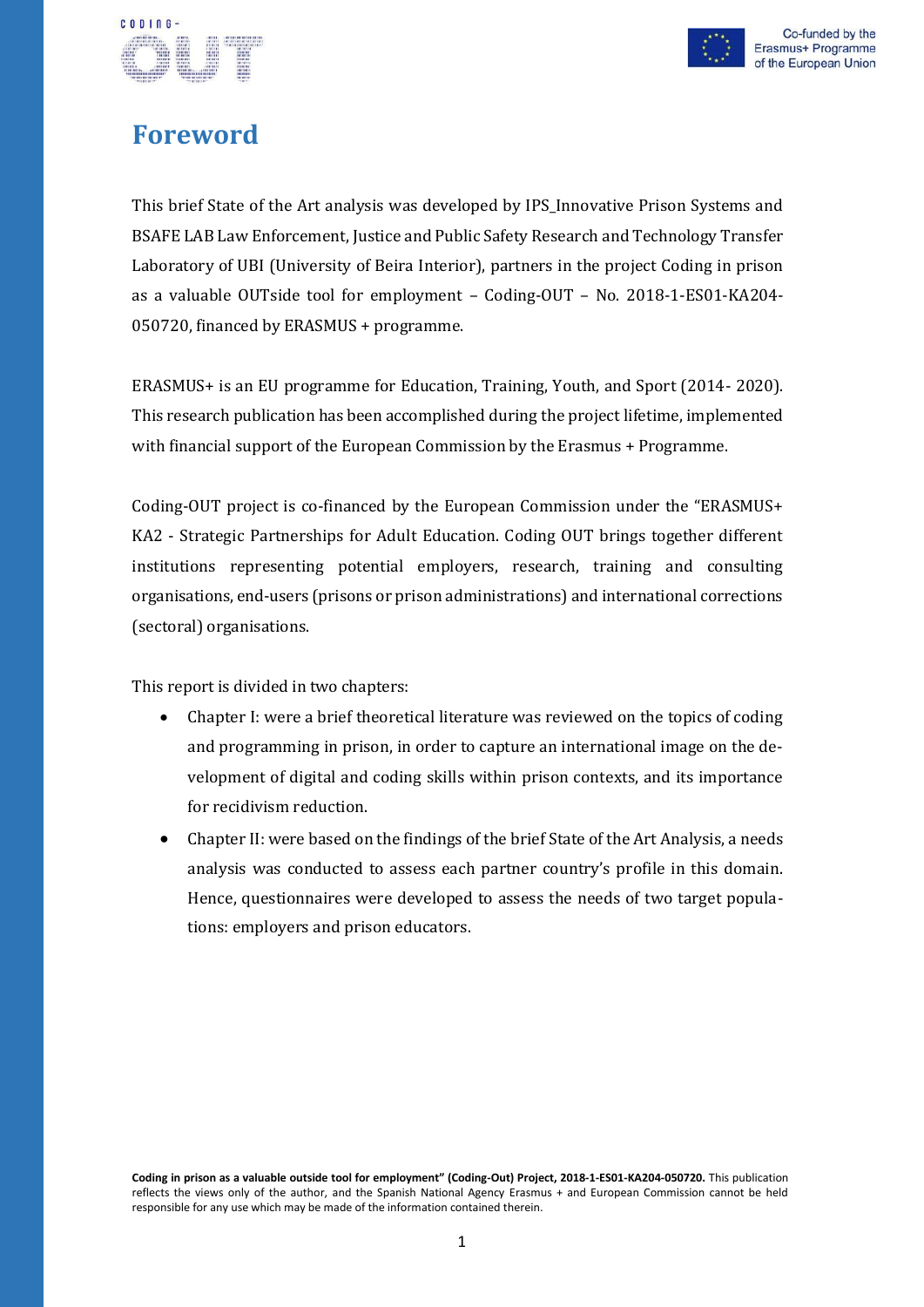

## <span id="page-2-0"></span>**Foreword**

CODING-

This brief State of the Art analysis was developed by IPS\_Innovative Prison Systems and BSAFE LAB Law Enforcement, Justice and Public Safety Research and Technology Transfer Laboratory of UBI (University of Beira Interior), partners in the project Coding in prison as a valuable OUTside tool for employment – Coding-OUT – No. 2018-1-ES01-KA204- 050720, financed by ERASMUS + programme.

ERASMUS+ is an EU programme for Education, Training, Youth, and Sport (2014- 2020). This research publication has been accomplished during the project lifetime, implemented with financial support of the European Commission by the Erasmus + Programme.

Coding-OUT project is co-financed by the European Commission under the "ERASMUS+ KA2 - Strategic Partnerships for Adult Education. Coding OUT brings together different institutions representing potential employers, research, training and consulting organisations, end-users (prisons or prison administrations) and international corrections (sectoral) organisations.

This report is divided in two chapters:

- Chapter I: were a brief theoretical literature was reviewed on the topics of coding and programming in prison, in order to capture an international image on the development of digital and coding skills within prison contexts, and its importance for recidivism reduction.
- Chapter II: were based on the findings of the brief State of the Art Analysis, a needs analysis was conducted to assess each partner country's profile in this domain. Hence, questionnaires were developed to assess the needs of two target populations: employers and prison educators.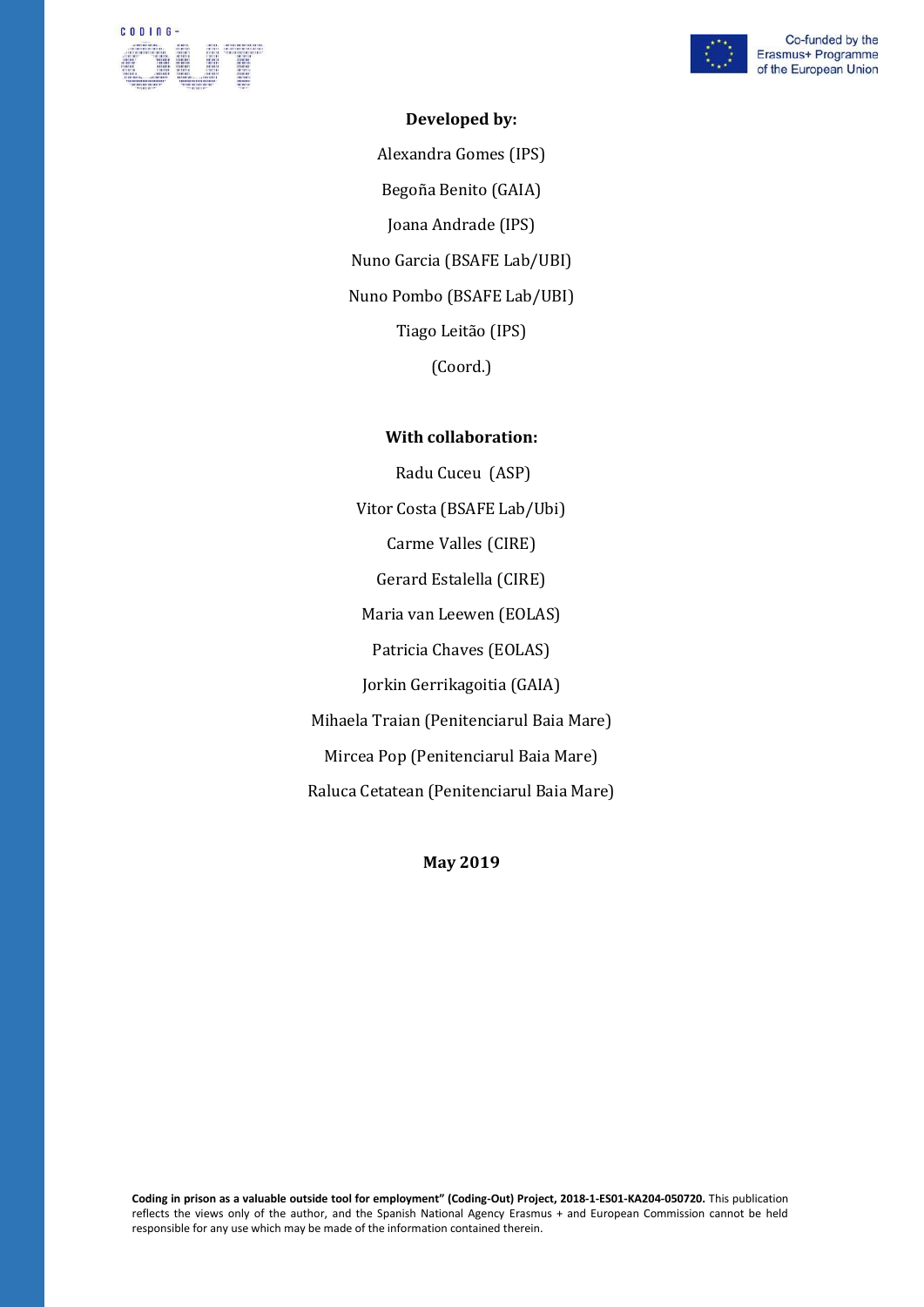



#### **Developed by:**

Alexandra Gomes (IPS) Begoña Benito (GAIA) Joana Andrade (IPS) Nuno Garcia (BSAFE Lab/UBI) Nuno Pombo (BSAFE Lab/UBI) Tiago Leitão (IPS) (Coord.)

#### **With collaboration:**

Radu Cuceu (ASP) Vitor Costa (BSAFE Lab/Ubi) Carme Valles (CIRE) Gerard Estalella (CIRE) Maria van Leewen (EOLAS) Patricia Chaves (EOLAS) Jorkin Gerrikagoitia (GAIA) Mihaela Traian (Penitenciarul Baia Mare) Mircea Pop (Penitenciarul Baia Mare) Raluca Cetatean (Penitenciarul Baia Mare)

**May 2019**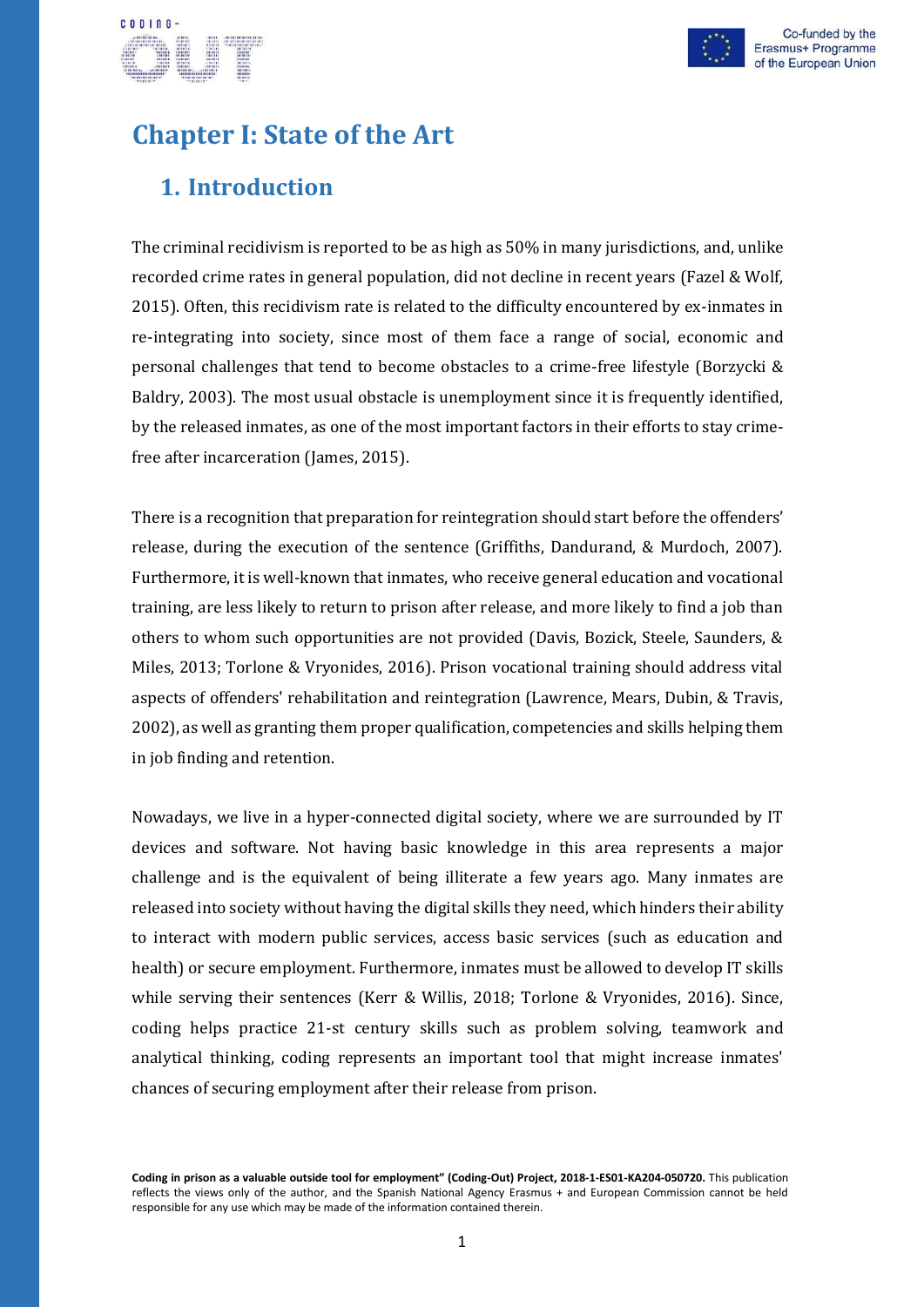

# CODING-

## <span id="page-4-1"></span><span id="page-4-0"></span>**Chapter I: State of the Art**

## **1. Introduction**

The criminal recidivism is reported to be as high as 50% in many jurisdictions, and, unlike recorded crime rates in general population, did not decline in recent years (Fazel & Wolf, 2015). Often, this recidivism rate is related to the difficulty encountered by ex-inmates in re-integrating into society, since most of them face a range of social, economic and personal challenges that tend to become obstacles to a crime-free lifestyle (Borzycki & Baldry, 2003). The most usual obstacle is unemployment since it is frequently identified, by the released inmates, as one of the most important factors in their efforts to stay crimefree after incarceration (James, 2015).

There is a recognition that preparation for reintegration should start before the offenders' release, during the execution of the sentence (Griffiths, Dandurand, & Murdoch, 2007). Furthermore, it is well-known that inmates, who receive general education and vocational training, are less likely to return to prison after release, and more likely to find a job than others to whom such opportunities are not provided (Davis, Bozick, Steele, Saunders, & Miles, 2013; Torlone & Vryonides, 2016). Prison vocational training should address vital aspects of offenders' rehabilitation and reintegration (Lawrence, Mears, Dubin, & Travis, 2002), as well as granting them proper qualification, competencies and skills helping them in job finding and retention.

Nowadays, we live in a hyper-connected digital society, where we are surrounded by IT devices and software. Not having basic knowledge in this area represents a major challenge and is the equivalent of being illiterate a few years ago. Many inmates are released into society without having the digital skills they need, which hinders their ability to interact with modern public services, access basic services (such as education and health) or secure employment. Furthermore, inmates must be allowed to develop IT skills while serving their sentences (Kerr & Willis, 2018; Torlone & Vryonides, 2016). Since, coding helps practice 21-st century skills such as problem solving, teamwork and analytical thinking, coding represents an important tool that might increase inmates' chances of securing employment after their release from prison.

**Coding in prison as a valuable outside tool for employment" (Coding-Out) Project, 2018-1-ES01-KA204-050720.** This publication reflects the views only of the author, and the Spanish National Agency Erasmus + and European Commission cannot be held responsible for any use which may be made of the information contained therein.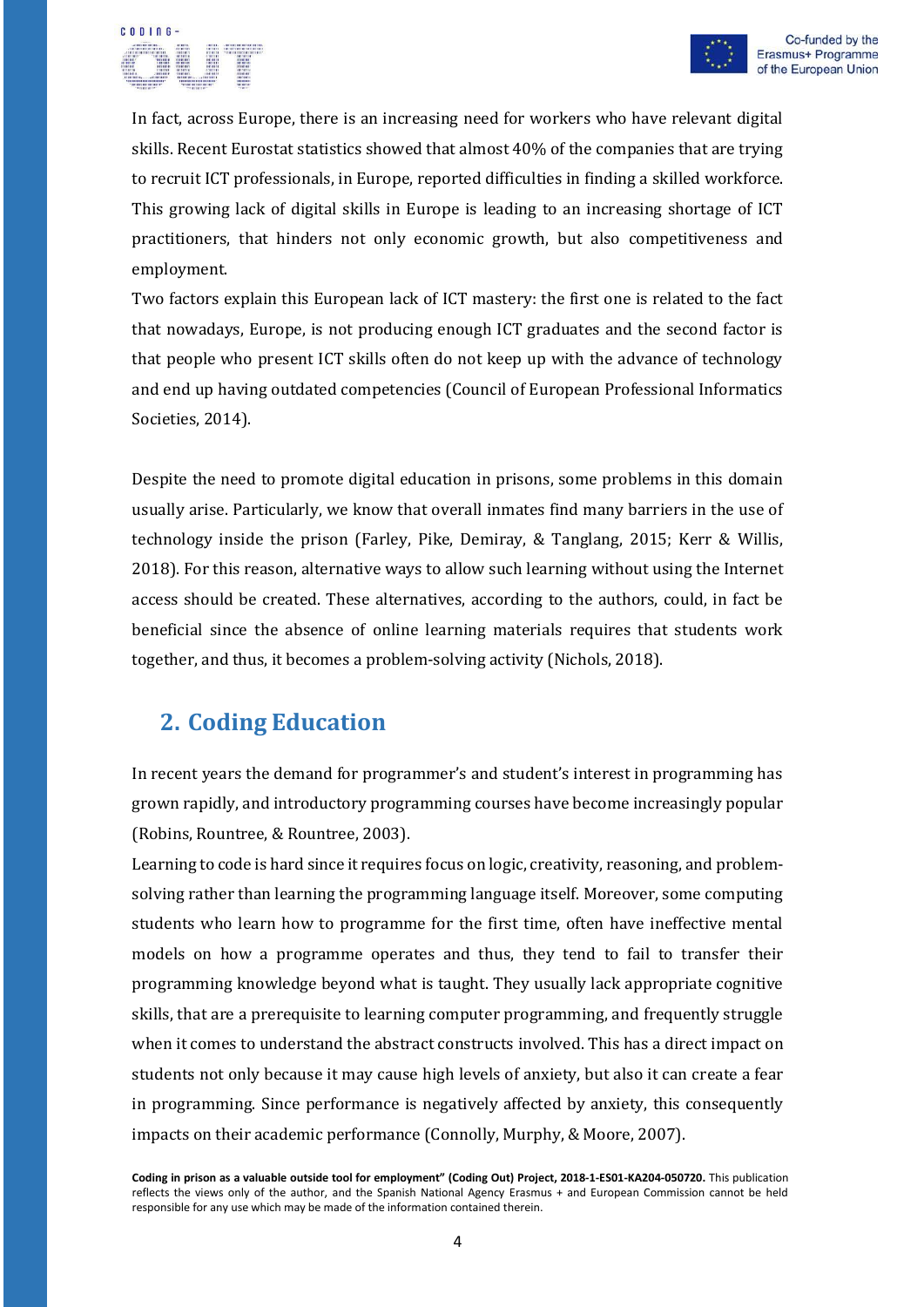

In fact, across Europe, there is an increasing need for workers who have relevant digital skills. Recent Eurostat statistics showed that almost 40% of the companies that are trying to recruit ICT professionals, in Europe, reported difficulties in finding a skilled workforce. This growing lack of digital skills in Europe is leading to an increasing shortage of ICT practitioners, that hinders not only economic growth, but also competitiveness and employment.

Two factors explain this European lack of ICT mastery: the first one is related to the fact that nowadays, Europe, is not producing enough ICT graduates and the second factor is that people who present ICT skills often do not keep up with the advance of technology and end up having outdated competencies (Council of European Professional Informatics Societies, 2014).

Despite the need to promote digital education in prisons, some problems in this domain usually arise. Particularly, we know that overall inmates find many barriers in the use of technology inside the prison (Farley, Pike, Demiray, & Tanglang, 2015; Kerr & Willis, 2018). For this reason, alternative ways to allow such learning without using the Internet access should be created. These alternatives, according to the authors, could, in fact be beneficial since the absence of online learning materials requires that students work together, and thus, it becomes a problem-solving activity (Nichols, 2018).

## <span id="page-5-0"></span>**2. Coding Education**

In recent years the demand for programmer's and student's interest in programming has grown rapidly, and introductory programming courses have become increasingly popular (Robins, Rountree, & Rountree, 2003).

Learning to code is hard since it requires focus on logic, creativity, reasoning, and problemsolving rather than learning the programming language itself. Moreover, some computing students who learn how to programme for the first time, often have ineffective mental models on how a programme operates and thus, they tend to fail to transfer their programming knowledge beyond what is taught. They usually lack appropriate cognitive skills, that are a prerequisite to learning computer programming, and frequently struggle when it comes to understand the abstract constructs involved. This has a direct impact on students not only because it may cause high levels of anxiety, but also it can create a fear in programming. Since performance is negatively affected by anxiety, this consequently impacts on their academic performance (Connolly, Murphy, & Moore, 2007).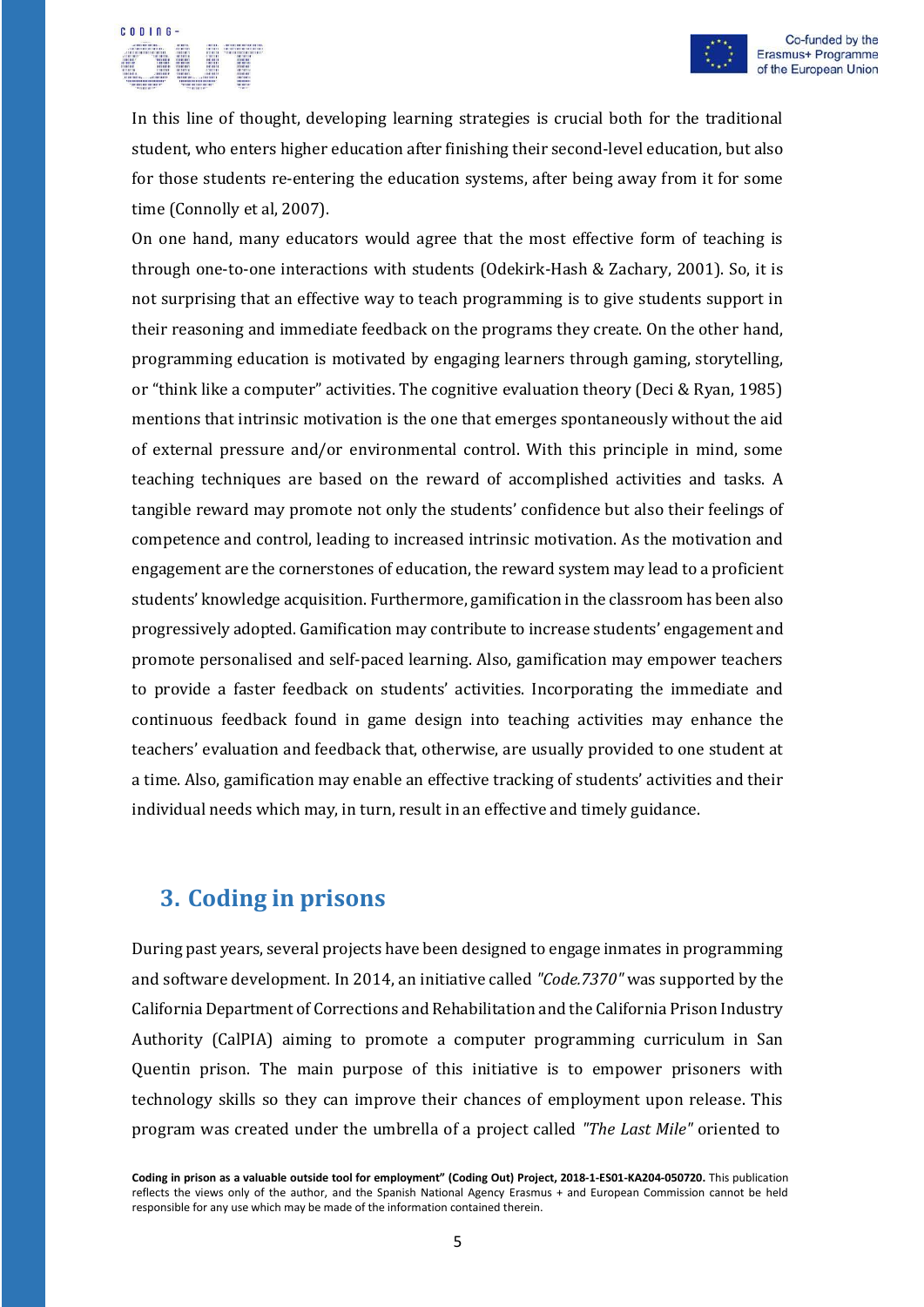# **CODING**



In this line of thought, developing learning strategies is crucial both for the traditional student, who enters higher education after finishing their second-level education, but also for those students re-entering the education systems, after being away from it for some time (Connolly et al, 2007).

On one hand, many educators would agree that the most effective form of teaching is through one-to-one interactions with students (Odekirk-Hash & Zachary, 2001). So, it is not surprising that an effective way to teach programming is to give students support in their reasoning and immediate feedback on the programs they create. On the other hand, programming education is motivated by engaging learners through gaming, storytelling, or "think like a computer" activities. The cognitive evaluation theory (Deci & Ryan, 1985) mentions that intrinsic motivation is the one that emerges spontaneously without the aid of external pressure and/or environmental control. With this principle in mind, some teaching techniques are based on the reward of accomplished activities and tasks. A tangible reward may promote not only the students' confidence but also their feelings of competence and control, leading to increased intrinsic motivation. As the motivation and engagement are the cornerstones of education, the reward system may lead to a proficient students' knowledge acquisition. Furthermore, gamification in the classroom has been also progressively adopted. Gamification may contribute to increase students' engagement and promote personalised and self-paced learning. Also, gamification may empower teachers to provide a faster feedback on students' activities. Incorporating the immediate and continuous feedback found in game design into teaching activities may enhance the teachers' evaluation and feedback that, otherwise, are usually provided to one student at a time. Also, gamification may enable an effective tracking of students' activities and their individual needs which may, in turn, result in an effective and timely guidance.

## <span id="page-6-0"></span>**3. Coding in prisons**

During past years, several projects have been designed to engage inmates in programming and software development. In 2014, an initiative called *"Code.7370"* was supported by the California Department of Corrections and Rehabilitation and the California Prison Industry Authority (CalPIA) aiming to promote a computer programming curriculum in San Quentin prison. The main purpose of this initiative is to empower prisoners with technology skills so they can improve their chances of employment upon release. This program was created under the umbrella of a project called *"The Last Mile"* oriented to

**Coding in prison as a valuable outside tool for employment" (Coding Out) Project, 2018-1-ES01-KA204-050720.** This publication reflects the views only of the author, and the Spanish National Agency Erasmus + and European Commission cannot be held responsible for any use which may be made of the information contained therein.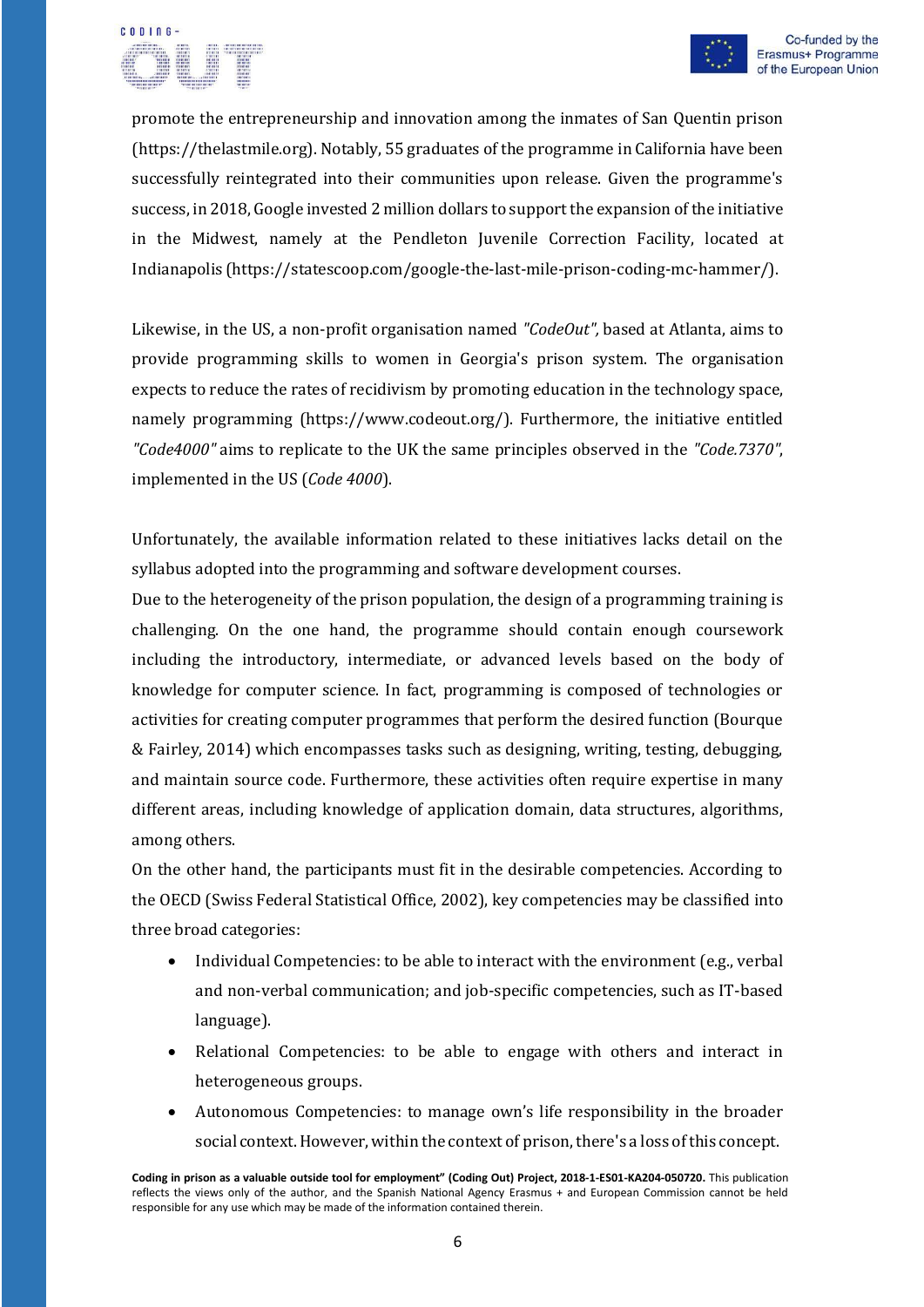

promote the entrepreneurship and innovation among the inmates of San Quentin prison (https://thelastmile.org). Notably, 55 graduates of the programme in California have been successfully reintegrated into their communities upon release. Given the programme's success, in 2018, Google invested 2 million dollars to support the expansion of the initiative in the Midwest, namely at the Pendleton Juvenile Correction Facility, located at Indianapolis (https://statescoop.com/google-the-last-mile-prison-coding-mc-hammer/).

Likewise, in the US, a non-profit organisation named *"CodeOut",* based at Atlanta, aims to provide programming skills to women in Georgia's prison system. The organisation expects to reduce the rates of recidivism by promoting education in the technology space, namely programming (h[ttps://ww](http://www.codeout.org/))w.[codeout.org/\).](http://www.codeout.org/)) Furthermore, the initiative entitled *"Code4000"* aims to replicate to the UK the same principles observed in the *"Code.7370"*, implemented in the US (*Code 4000*).

Unfortunately, the available information related to these initiatives lacks detail on the syllabus adopted into the programming and software development courses.

Due to the heterogeneity of the prison population, the design of a programming training is challenging. On the one hand, the programme should contain enough coursework including the introductory, intermediate, or advanced levels based on the body of knowledge for computer science. In fact, programming is composed of technologies or activities for creating computer programmes that perform the desired function (Bourque & Fairley, 2014) which encompasses tasks such as designing, writing, testing, debugging, and maintain source code. Furthermore, these activities often require expertise in many different areas, including knowledge of application domain, data structures, algorithms, among others.

On the other hand, the participants must fit in the desirable competencies. According to the OECD (Swiss Federal Statistical Office, 2002), key competencies may be classified into three broad categories:

- Individual Competencies: to be able to interact with the environment (e.g., verbal and non-verbal communication; and job-specific competencies, such as IT-based language).
- Relational Competencies: to be able to engage with others and interact in heterogeneous groups.
- Autonomous Competencies: to manage own's life responsibility in the broader social context. However, within the context of prison, there's a loss of this concept.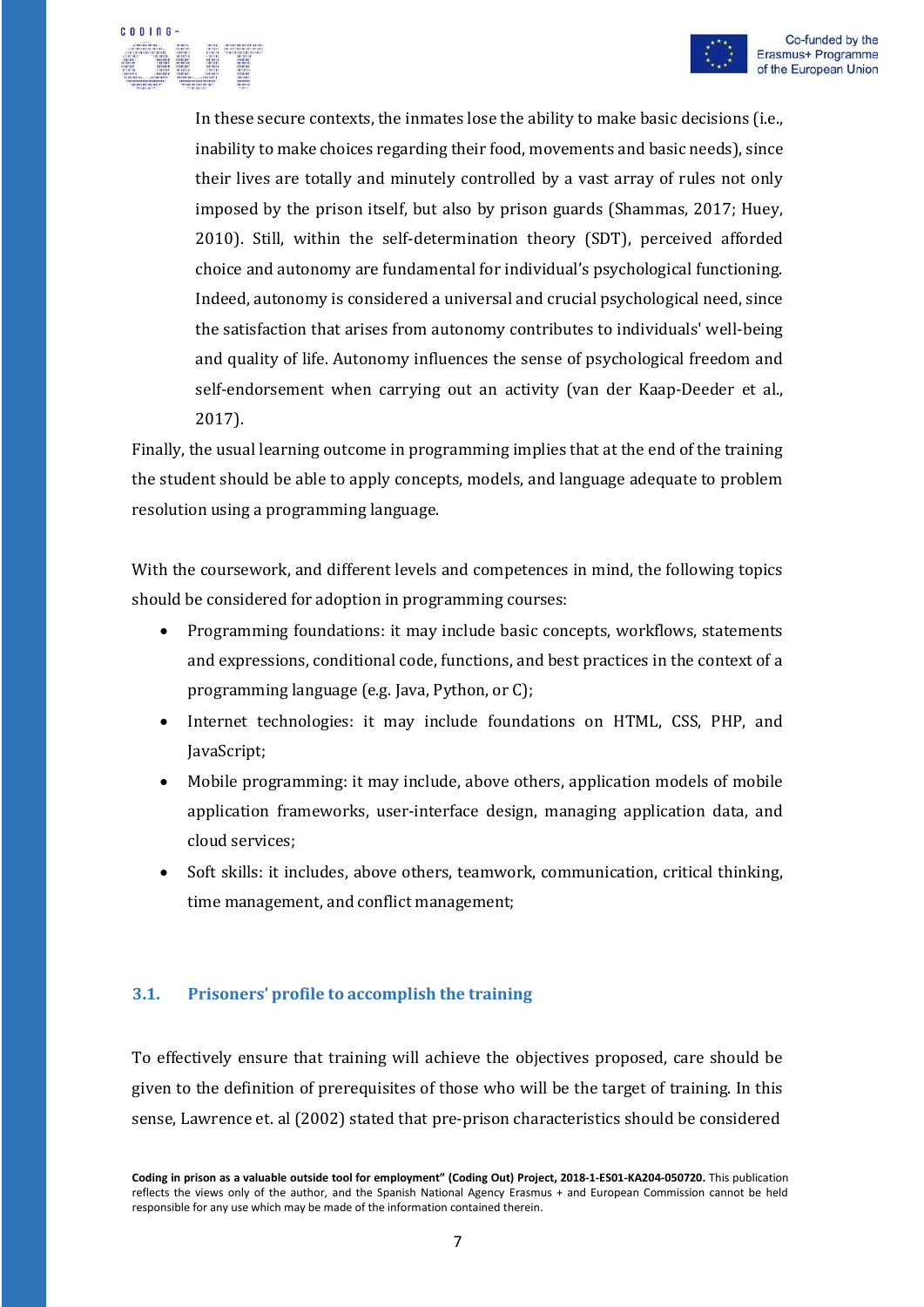

 $C$   $D$   $D$   $D$   $D$ 

In these secure contexts, the inmates lose the ability to make basic decisions (i.e., inability to make choices regarding their food, movements and basic needs), since their lives are totally and minutely controlled by a vast array of rules not only imposed by the prison itself, but also by prison guards (Shammas, 2017; Huey, 2010). Still, within the self-determination theory (SDT), perceived afforded choice and autonomy are fundamental for individual's psychological functioning. Indeed, autonomy is considered a universal and crucial psychological need, since the satisfaction that arises from autonomy contributes to individuals' well-being and quality of life. Autonomy influences the sense of psychological freedom and self-endorsement when carrying out an activity (van der Kaap-Deeder et al., 2017).

Finally, the usual learning outcome in programming implies that at the end of the training the student should be able to apply concepts, models, and language adequate to problem resolution using a programming language.

With the coursework, and different levels and competences in mind, the following topics should be considered for adoption in programming courses:

- Programming foundations: it may include basic concepts, workflows, statements and expressions, conditional code, functions, and best practices in the context of a programming language (e.g. Java, Python, or C);
- Internet technologies: it may include foundations on HTML, CSS, PHP, and JavaScript;
- Mobile programming: it may include, above others, application models of mobile application frameworks, user-interface design, managing application data, and cloud services;
- Soft skills: it includes, above others, teamwork, communication, critical thinking, time management, and conflict management;

#### <span id="page-8-0"></span>**3.1. Prisoners' profile to accomplish the training**

To effectively ensure that training will achieve the objectives proposed, care should be given to the definition of prerequisites of those who will be the target of training. In this sense, Lawrence et. al (2002) stated that pre-prison characteristics should be considered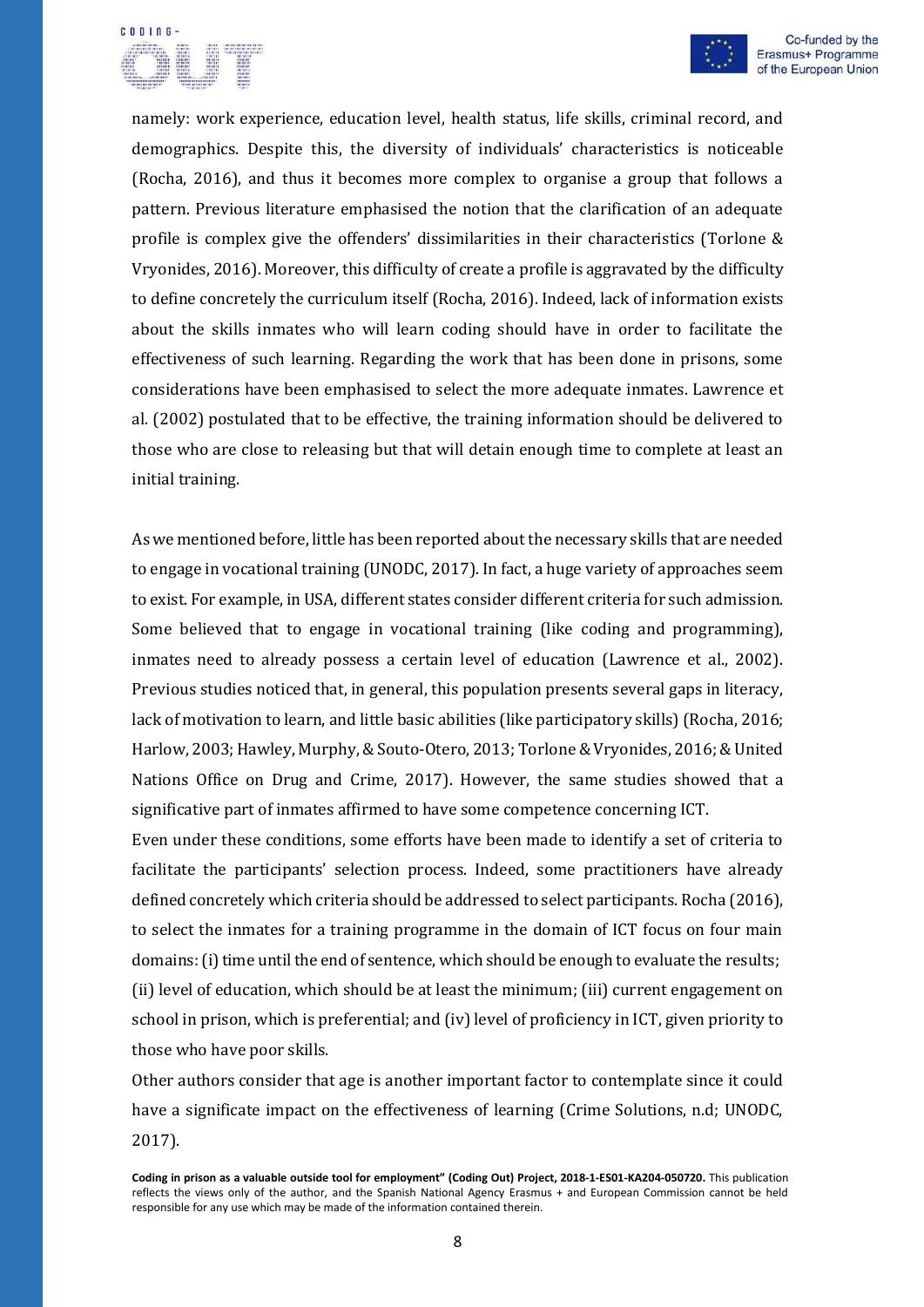# CODIOG



namely: work experience, education level, health status, life skills, criminal record, and demographics. Despite this, the diversity of individuals' characteristics is noticeable (Rocha, 2016), and thus it becomes more complex to organise a group that follows a pattern. Previous literature emphasised the notion that the clarification of an adequate profile is complex give the offenders' dissimilarities in their characteristics (Torlone & Vryonides, 2016). Moreover, this difficulty of create a profile is aggravated by the difficulty to define concretely the curriculum itself (Rocha, 2016). Indeed, lack of information exists about the skills inmates who will learn coding should have in order to facilitate the effectiveness of such learning. Regarding the work that has been done in prisons, some considerations have been emphasised to select the more adequate inmates. Lawrence et al. (2002) postulated that to be effective, the training information should be delivered to those who are close to releasing but that will detain enough time to complete at least an initial training.

As we mentioned before, little has been reported about the necessary skills that are needed to engage in vocational training (UNODC, 2017). In fact, a huge variety of approaches seem to exist. For example, in USA, different states consider different criteria for such admission. Some believed that to engage in vocational training (like coding and programming), inmates need to already possess a certain level of education (Lawrence et al., 2002). Previous studies noticed that, in general, this population presents several gaps in literacy, lack of motivation to learn, and little basic abilities (like participatory skills) (Rocha, 2016; Harlow, 2003; Hawley, Murphy, & Souto-Otero, 2013; Torlone & Vryonides, 2016; & United Nations Office on Drug and Crime, 2017). However, the same studies showed that a significative part of inmates affirmed to have some competence concerning ICT.

Even under these conditions, some efforts have been made to identify a set of criteria to facilitate the participants' selection process. Indeed, some practitioners have already defined concretely which criteria should be addressed to select participants. Rocha (2016), to select the inmates for a training programme in the domain of ICT focus on four main domains: (i) time until the end of sentence, which should be enough to evaluate the results; (ii) level of education, which should be at least the minimum; (iii) current engagement on school in prison, which is preferential; and (iv) level of proficiency in ICT, given priority to those who have poor skills.

Other authors consider that age is another important factor to contemplate since it could have a significate impact on the effectiveness of learning (Crime Solutions, n.d; UNODC, 2017).

**Coding in prison as a valuable outside tool for employment" (Coding Out) Project, 2018-1-ES01-KA204-050720.** This publication reflects the views only of the author, and the Spanish National Agency Erasmus + and European Commission cannot be held responsible for any use which may be made of the information contained therein.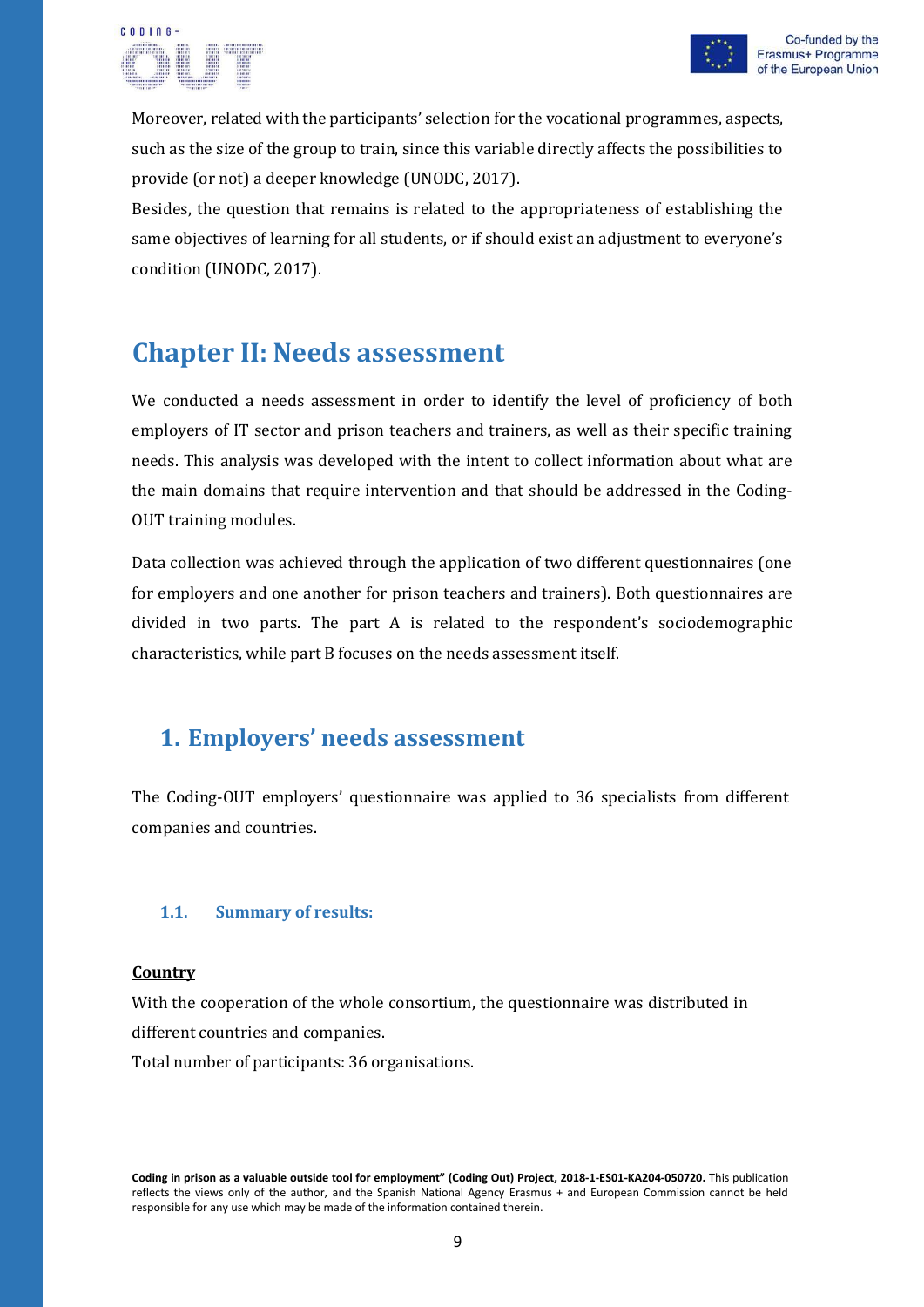

Moreover, related with the participants' selection for the vocational programmes, aspects, such as the size of the group to train, since this variable directly affects the possibilities to provide (or not) a deeper knowledge (UNODC, 2017).

Besides, the question that remains is related to the appropriateness of establishing the same objectives of learning for all students, or if should exist an adjustment to everyone's condition (UNODC, 2017).

## <span id="page-10-0"></span>**Chapter II: Needs assessment**

We conducted a needs assessment in order to identify the level of proficiency of both employers of IT sector and prison teachers and trainers, as well as their specific training needs. This analysis was developed with the intent to collect information about what are the main domains that require intervention and that should be addressed in the Coding-OUT training modules.

Data collection was achieved through the application of two different questionnaires (one for employers and one another for prison teachers and trainers). Both questionnaires are divided in two parts. The part A is related to the respondent's sociodemographic characteristics, while part B focuses on the needs assessment itself.

## <span id="page-10-1"></span>**1. Employers' needs assessment**

The Coding-OUT employers' questionnaire was applied to 36 specialists from different companies and countries.

#### <span id="page-10-2"></span>**1.1. Summary of results:**

#### **Country**

With the cooperation of the whole consortium, the questionnaire was distributed in different countries and companies.

Total number of participants: 36 organisations.

**Coding in prison as a valuable outside tool for employment" (Coding Out) Project, 2018-1-ES01-KA204-050720.** This publication reflects the views only of the author, and the Spanish National Agency Erasmus + and European Commission cannot be held responsible for any use which may be made of the information contained therein.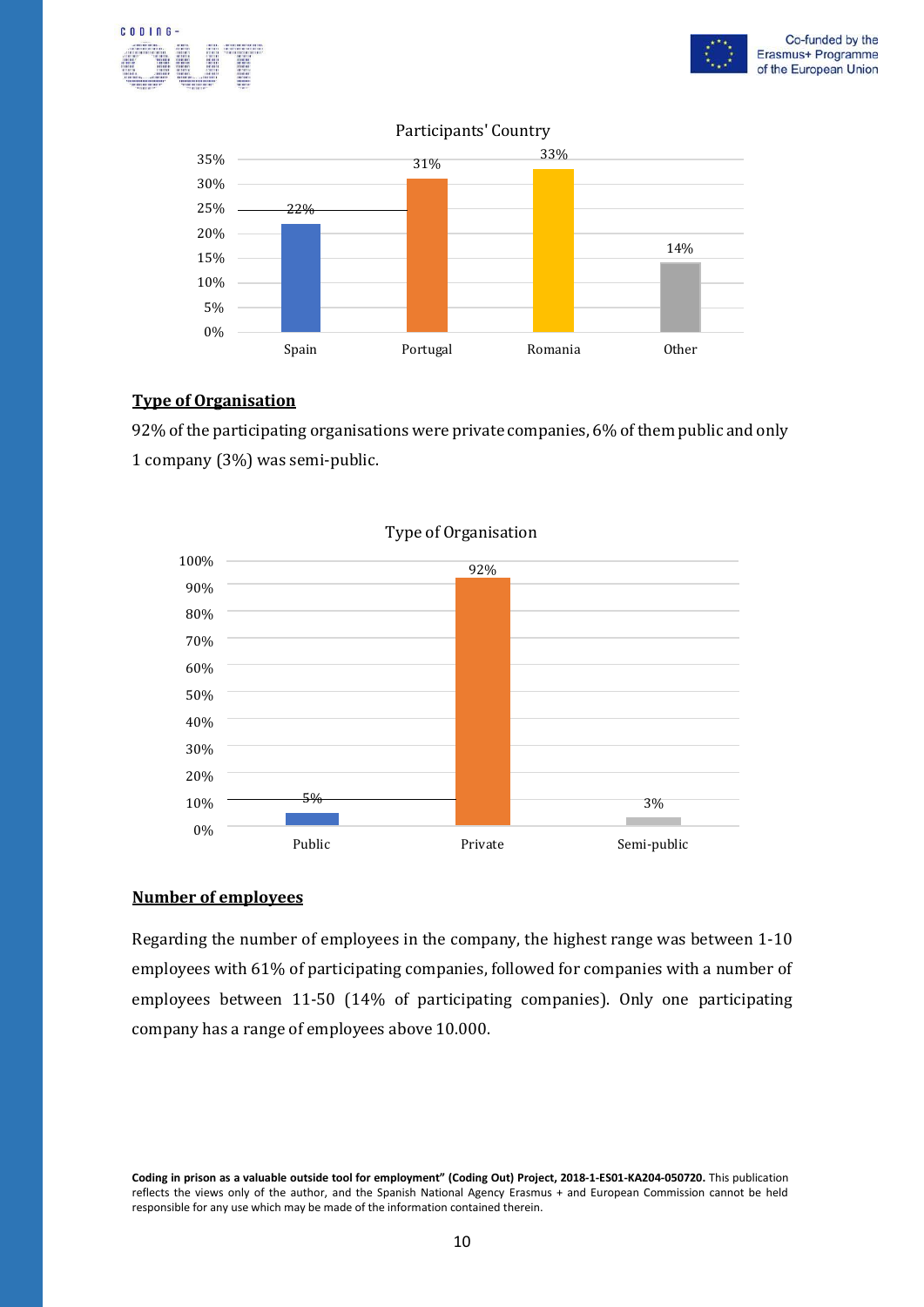



#### Participants' Country



#### **Type of Organisation**

92% of the participating organisations were private companies, 6% of them public and only 1 company (3%) was semi-public.



#### Type of Organisation

#### **Number of employees**

Regarding the number of employees in the company, the highest range was between 1-10 employees with 61% of participating companies, followed for companies with a number of employees between 11-50 (14% of participating companies). Only one participating company has a range of employees above 10.000.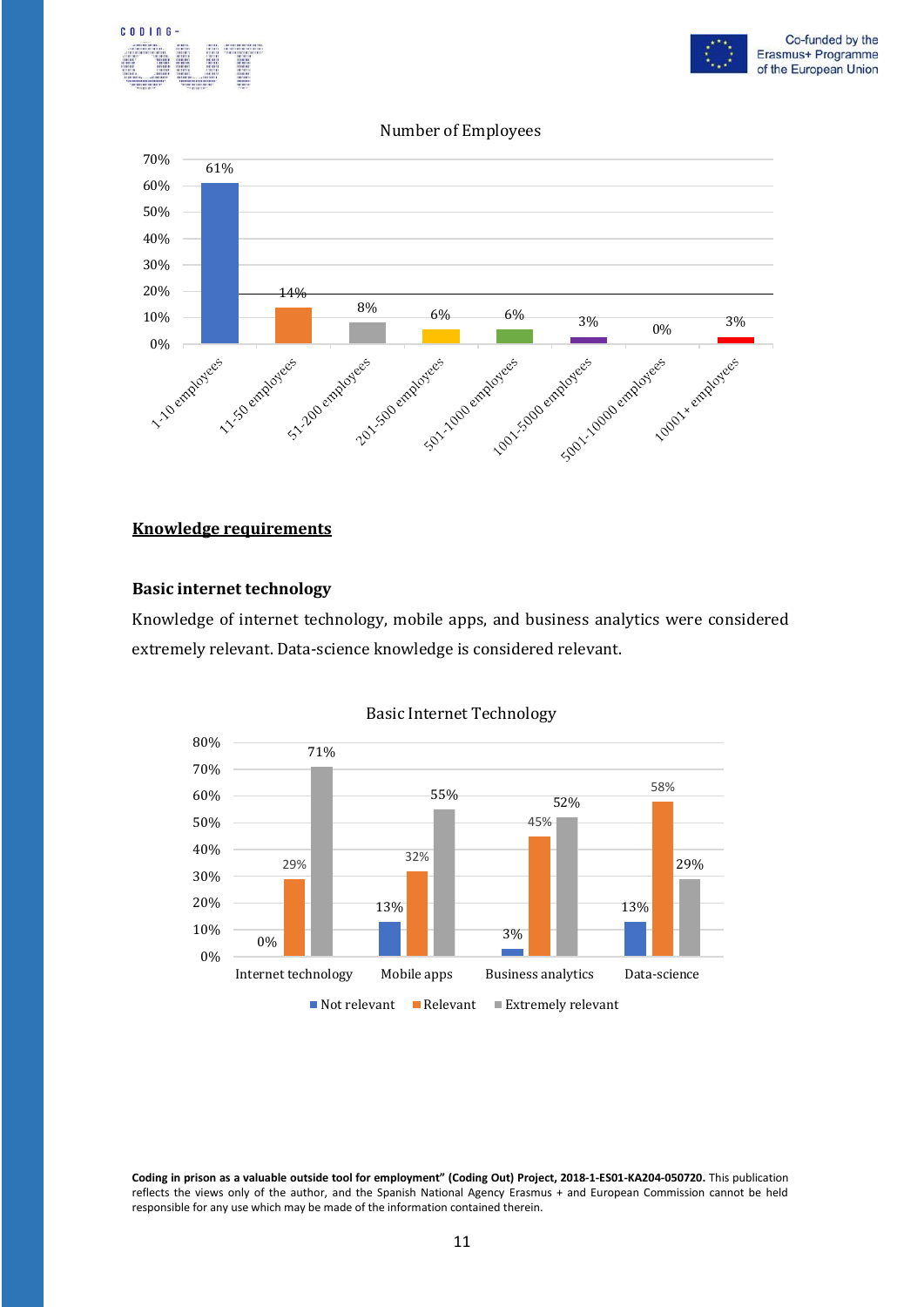



#### Number of Employees



#### **Knowledge requirements**

#### **Basic internet technology**

Knowledge of internet technology, mobile apps, and business analytics were considered extremely relevant. Data-science knowledge is considered relevant.



#### Basic Internet Technology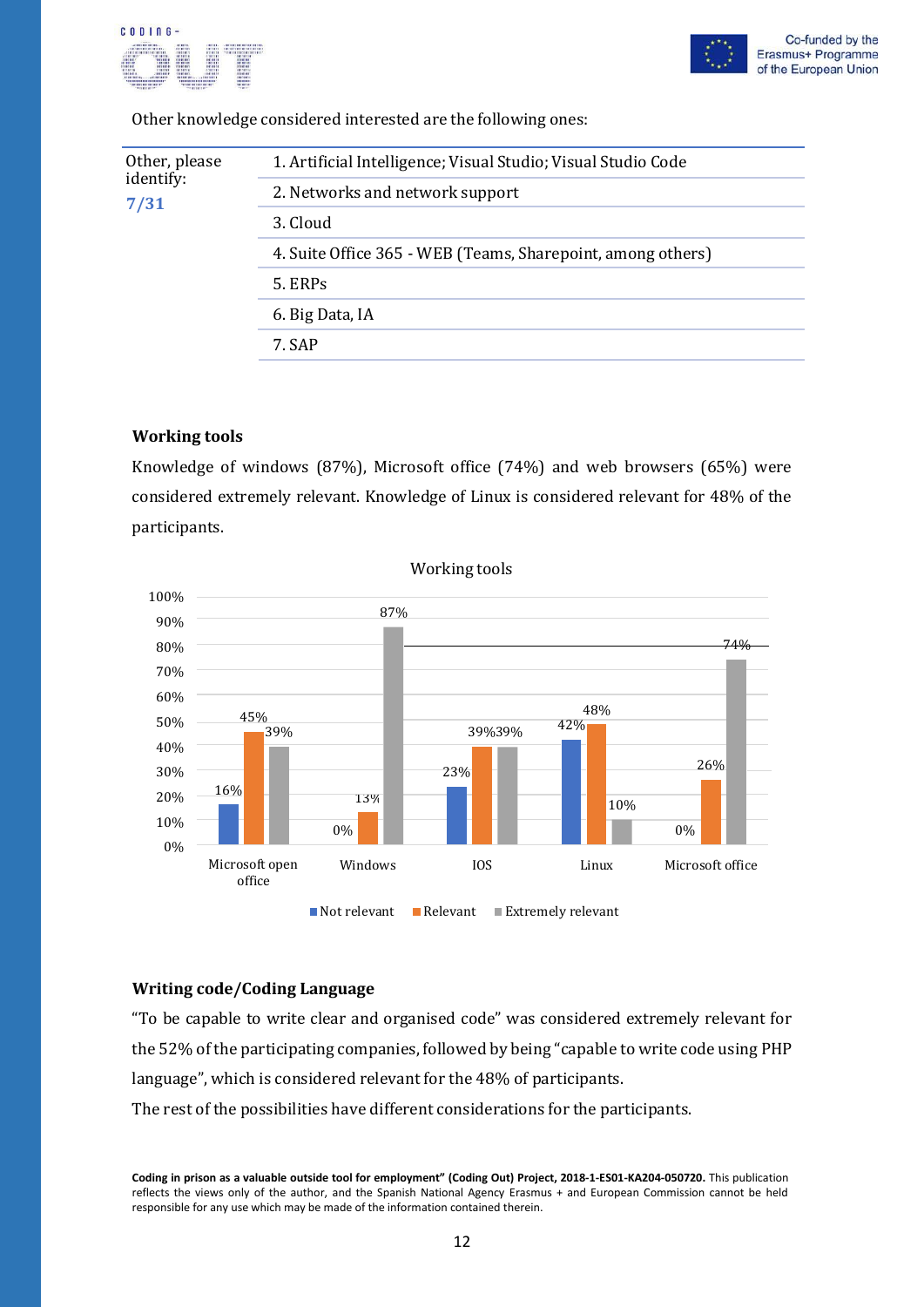



Other knowledge considered interested are the following ones:

| Other, please<br>identify:<br>7/31 | 1. Artificial Intelligence; Visual Studio; Visual Studio Code |
|------------------------------------|---------------------------------------------------------------|
|                                    | 2. Networks and network support                               |
|                                    | 3. Cloud                                                      |
|                                    | 4. Suite Office 365 - WEB (Teams, Sharepoint, among others)   |
|                                    | 5. ERPs                                                       |
|                                    | 6. Big Data, IA                                               |
|                                    | 7. SAP                                                        |
|                                    |                                                               |

#### **Working tools**

Knowledge of windows (87%), Microsoft office (74%) and web browsers (65%) were considered extremely relevant. Knowledge of Linux is considered relevant for 48% of the participants.



#### **Writing code/Coding Language**

"To be capable to write clear and organised code" was considered extremely relevant for the 52% of the participating companies, followed by being "capable to write code using PHP language", which is considered relevant for the 48% of participants. The rest of the possibilities have different considerations for the participants.

**Coding in prison as a valuable outside tool for employment" (Coding Out) Project, 2018-1-ES01-KA204-050720.** This publication reflects the views only of the author, and the Spanish National Agency Erasmus + and European Commission cannot be held responsible for any use which may be made of the information contained therein.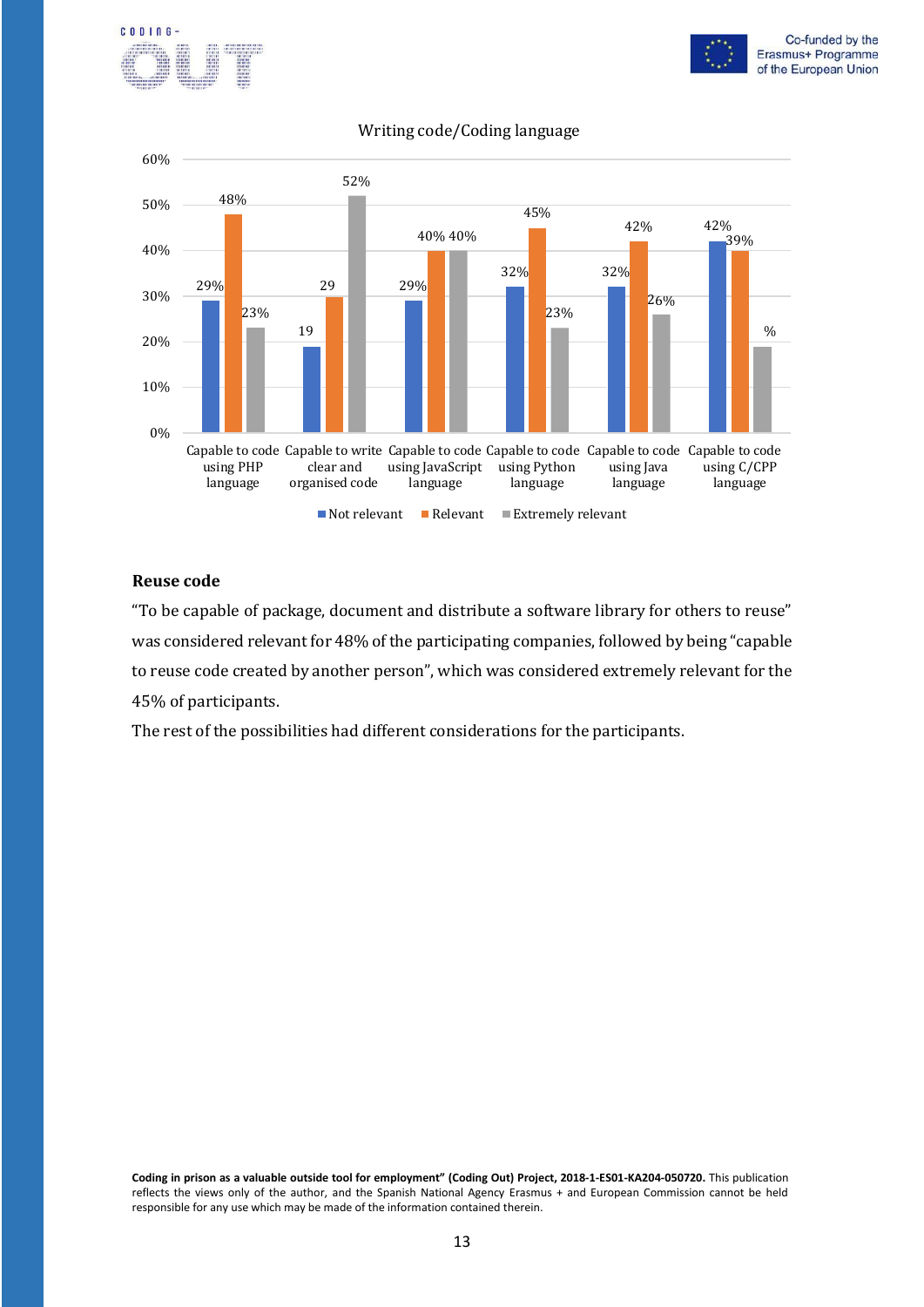





#### Writing code/Coding language

#### **Reuse code**

"To be capable of package, document and distribute a software library for others to reuse" was considered relevant for 48% of the participating companies, followed by being "capable to reuse code created by another person", which was considered extremely relevant for the 45% of participants.

The rest of the possibilities had different considerations for the participants.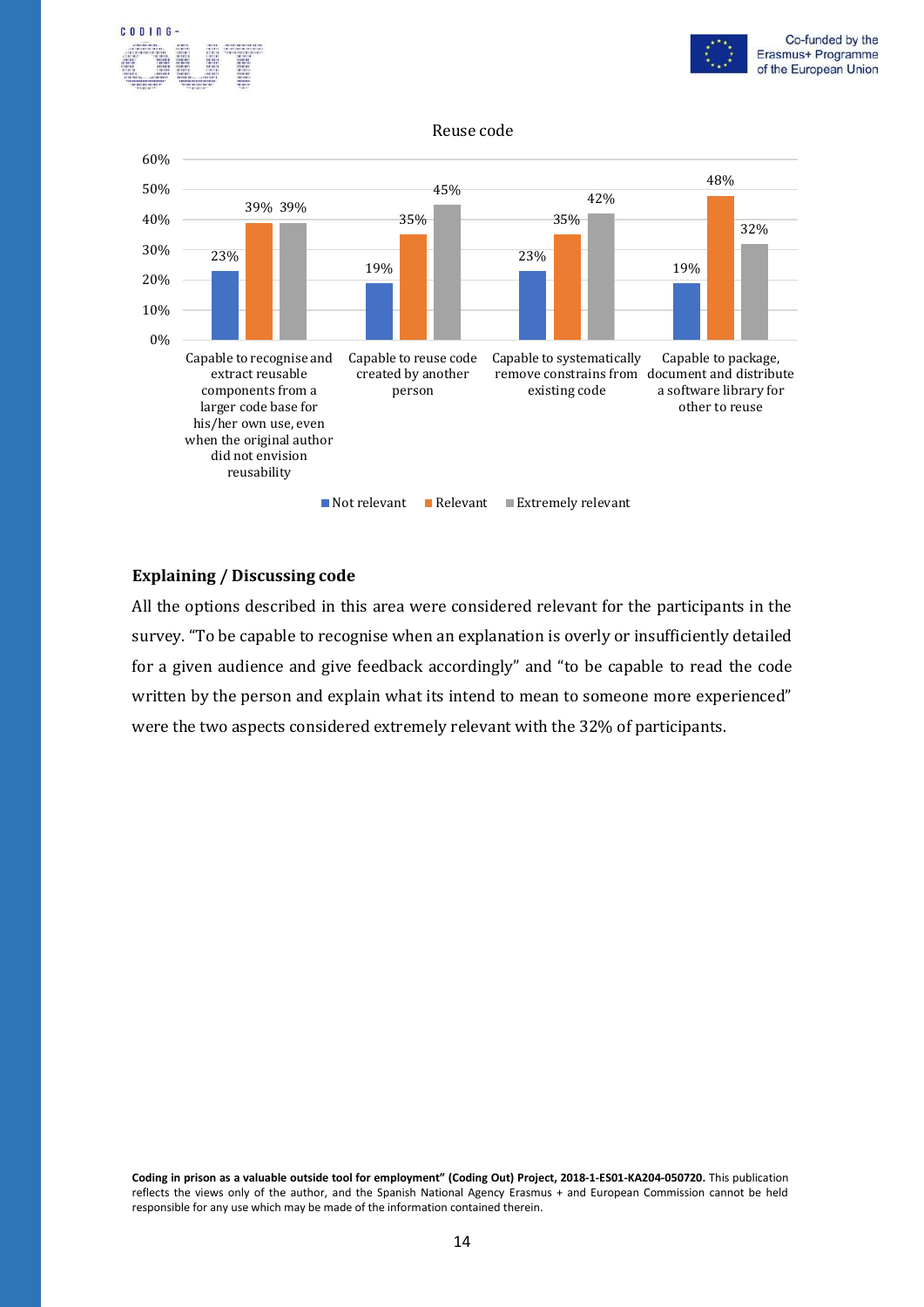



#### Reuse code



#### **Explaining / Discussing code**

All the options described in this area were considered relevant for the participants in the survey. "To be capable to recognise when an explanation is overly or insufficiently detailed for a given audience and give feedback accordingly" and "to be capable to read the code written by the person and explain what its intend to mean to someone more experienced" were the two aspects considered extremely relevant with the 32% of participants.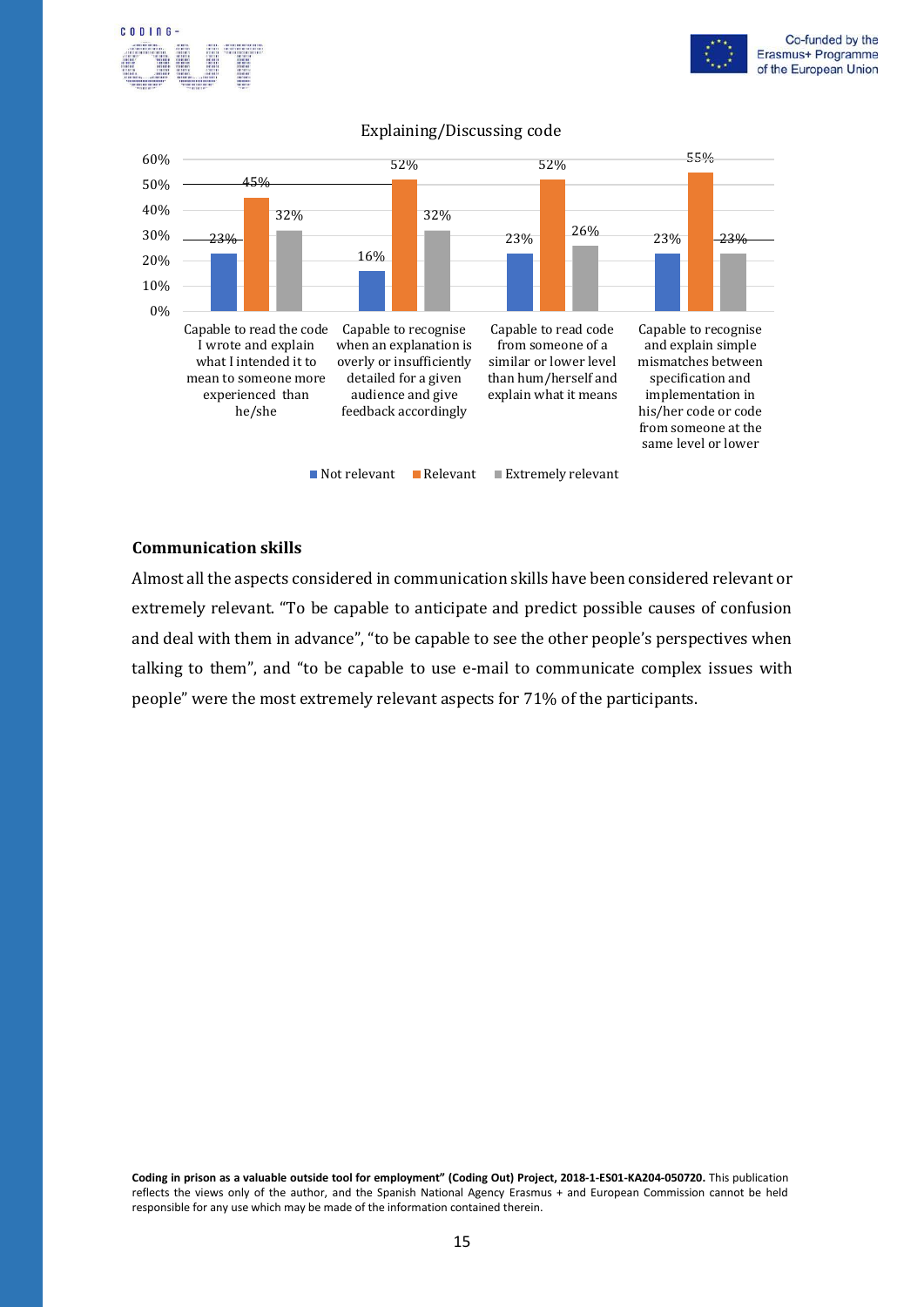





#### Explaining/Discussing code

#### **Communication skills**

Almost all the aspects considered in communication skills have been considered relevant or extremely relevant. "To be capable to anticipate and predict possible causes of confusion and deal with them in advance", "to be capable to see the other people's perspectives when talking to them", and "to be capable to use e-mail to communicate complex issues with people" were the most extremely relevant aspects for 71% of the participants.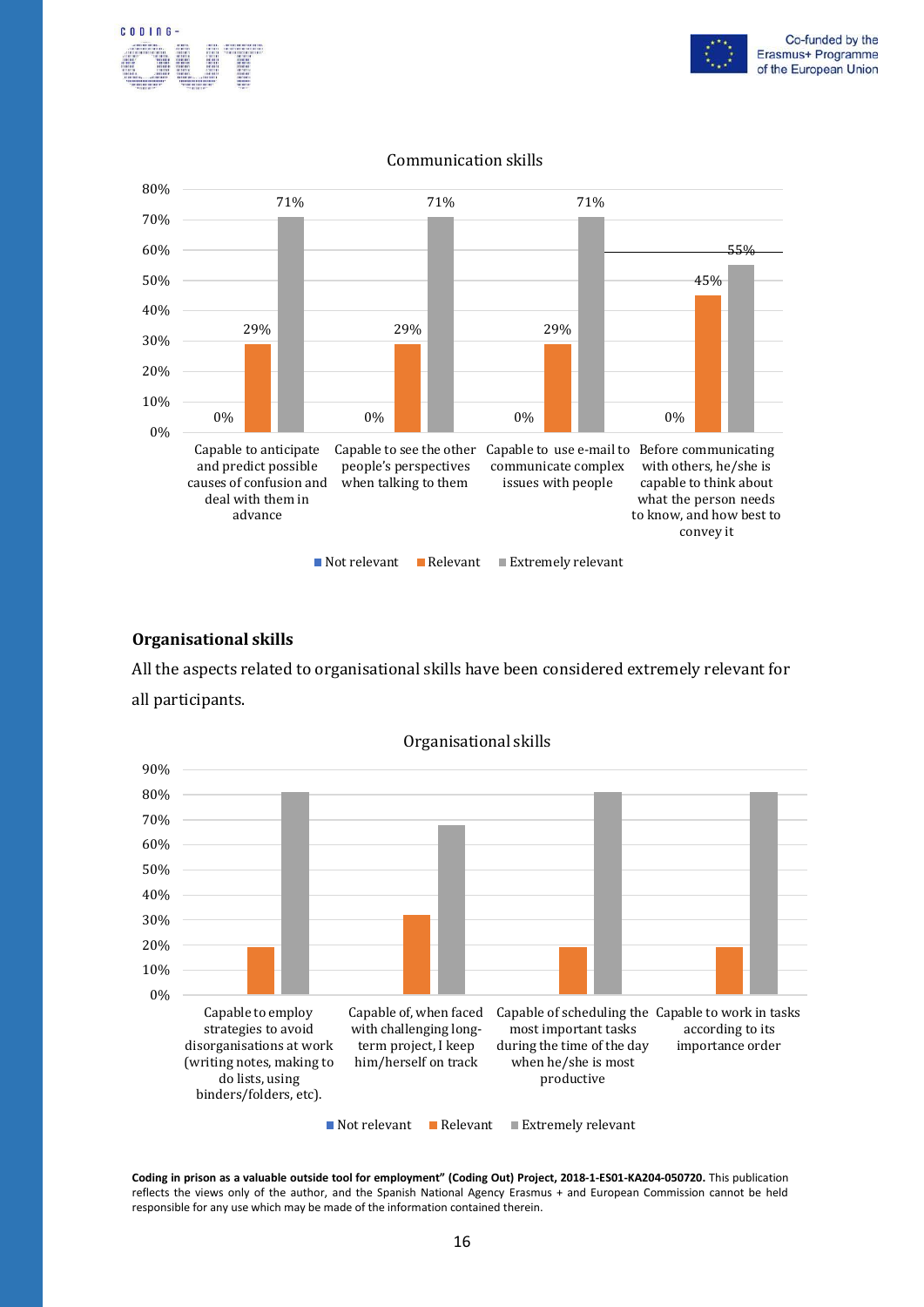





#### Communication skills

#### **Organisational skills**

All the aspects related to organisational skills have been considered extremely relevant for all participants.



Organisational skills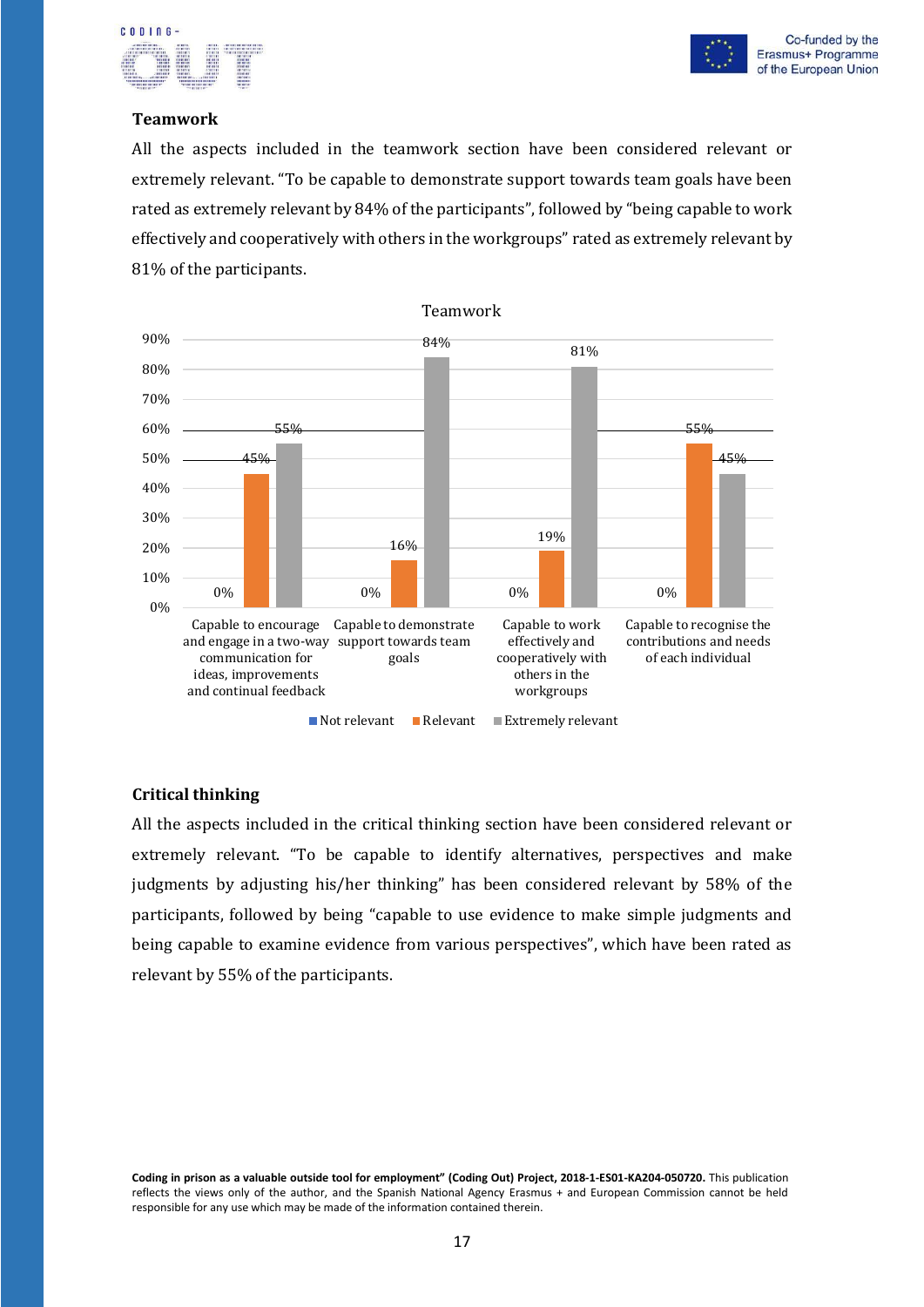



#### **Teamwork**

All the aspects included in the teamwork section have been considered relevant or extremely relevant. "To be capable to demonstrate support towards team goals have been rated as extremely relevant by 84% of the participants", followed by "being capable to work effectively and cooperatively with others in the workgroups" rated as extremely relevant by 81% of the participants.



**Critical thinking**

All the aspects included in the critical thinking section have been considered relevant or extremely relevant. "To be capable to identify alternatives, perspectives and make judgments by adjusting his/her thinking" has been considered relevant by 58% of the participants, followed by being "capable to use evidence to make simple judgments and being capable to examine evidence from various perspectives", which have been rated as relevant by 55% of the participants.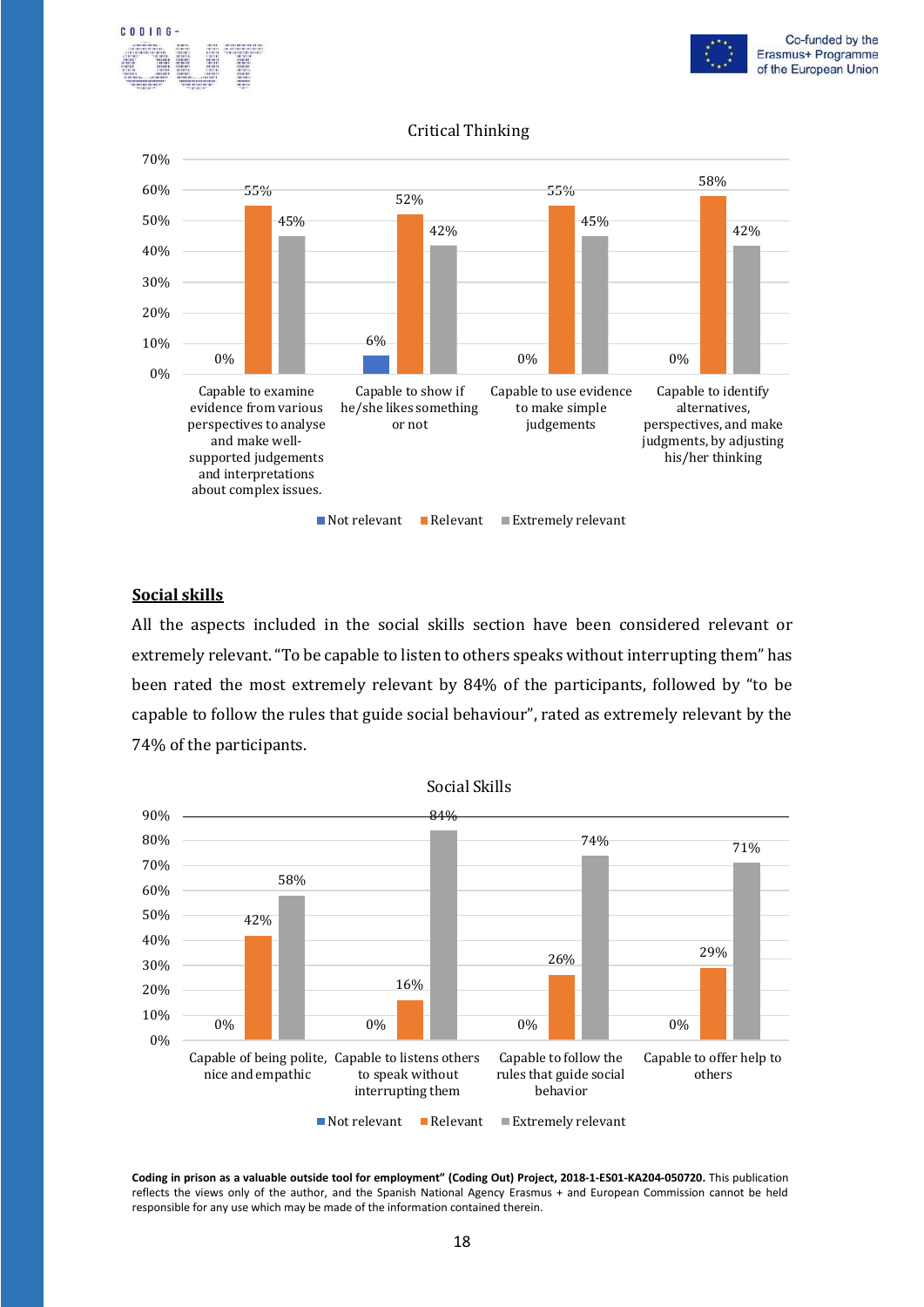





#### **Social skills**

All the aspects included in the social skills section have been considered relevant or extremely relevant. "To be capable to listen to others speaks without interrupting them" has been rated the most extremely relevant by 84% of the participants, followed by "to be capable to follow the rules that guide social behaviour", rated as extremely relevant by the 74% of the participants.

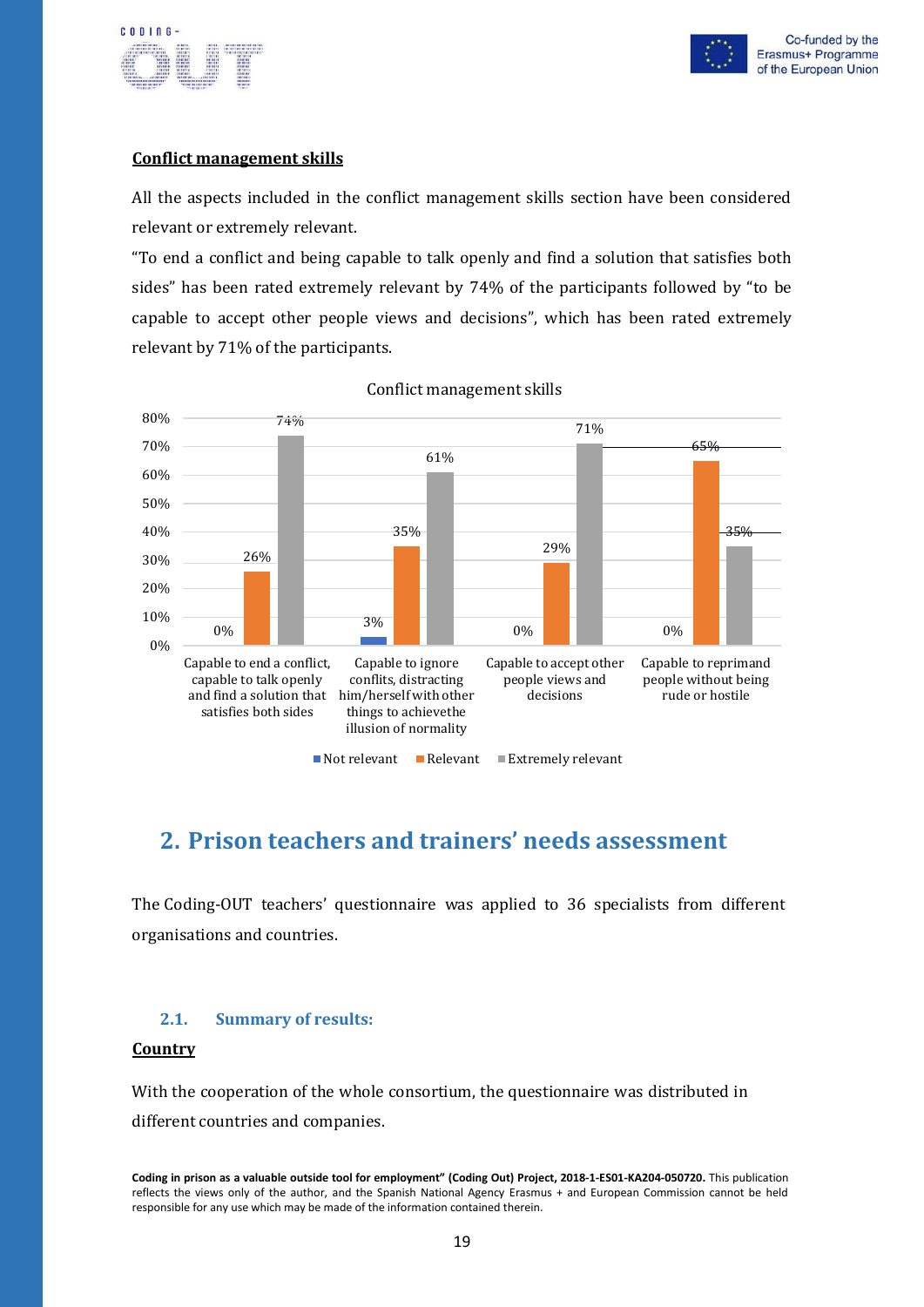



#### **Conflict management skills**

All the aspects included in the conflict management skills section have been considered relevant or extremely relevant.

"To end a conflict and being capable to talk openly and find a solution that satisfies both sides" has been rated extremely relevant by 74% of the participants followed by "to be capable to accept other people views and decisions", which has been rated extremely relevant by 71% of the participants.



Conflict management skills

### <span id="page-20-0"></span>**2. Prison teachers and trainers' needs assessment**

The Coding-OUT teachers' questionnaire was applied to 36 specialists from different organisations and countries.

#### <span id="page-20-1"></span>**2.1. Summary of results:**

#### **Country**

With the cooperation of the whole consortium, the questionnaire was distributed in different countries and companies.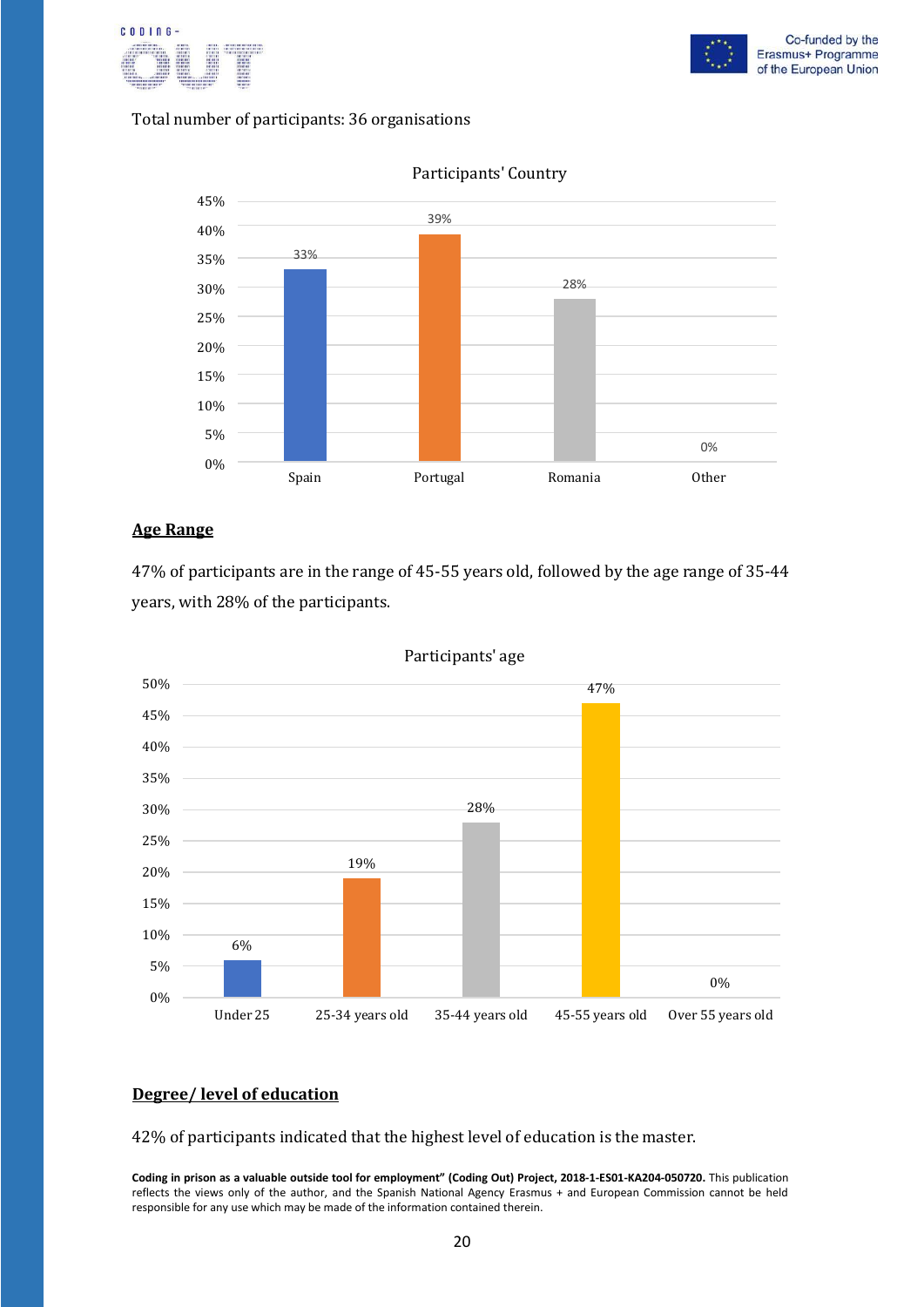



#### Total number of participants: 36 organisations



Participants' Country

#### **Age Range**

47% of participants are in the range of 45-55 years old, followed by the age range of 35-44 years, with 28% of the participants.



Participants' age

#### **Degree/ level of education**

42% of participants indicated that the highest level of education is the master.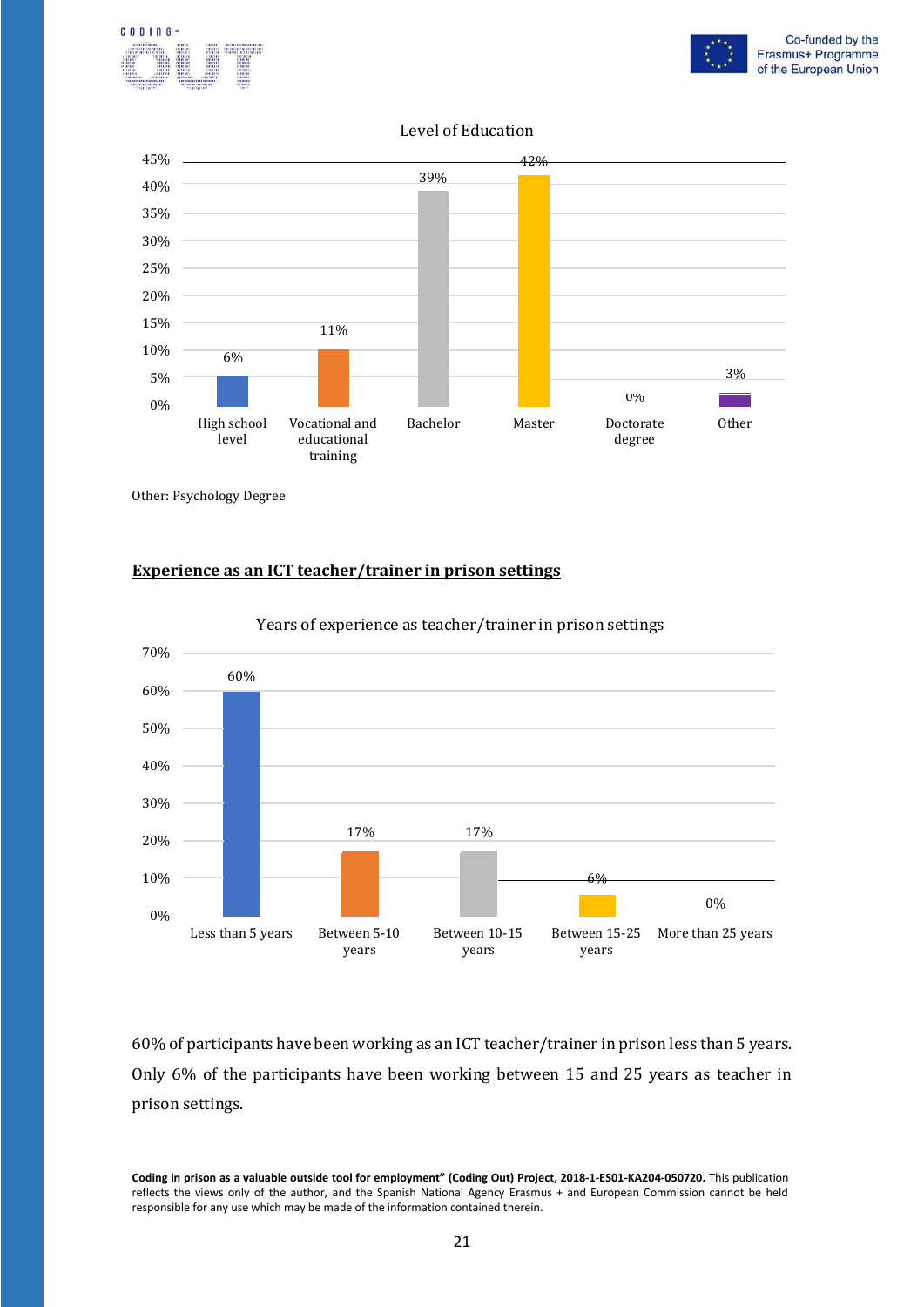



#### Level of Education



Other: Psychology Degree

#### **Experience as an ICT teacher/trainer in prison settings**



Years of experience as teacher/trainer in prison settings

60% of participants have been working as an ICT teacher/trainer in prison less than 5 years. Only 6% of the participants have been working between 15 and 25 years as teacher in prison settings.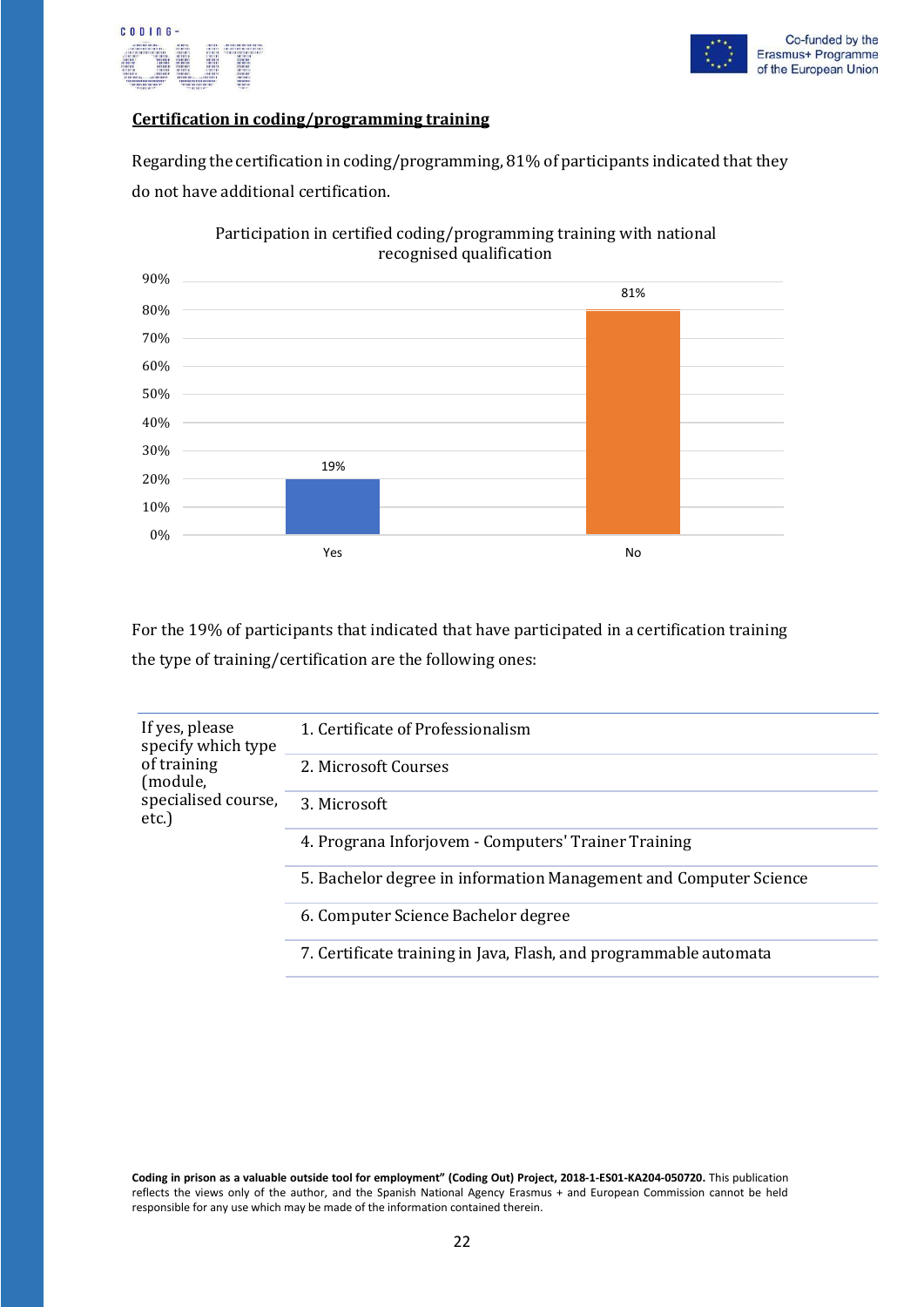



#### **Certification in coding/programming training**

Regarding the certification in coding/programming, 81% of participants indicated that they do not have additional certification.



Participation in certified coding/programming training with national recognised qualification

For the 19% of participants that indicated that have participated in a certification training the type of training/certification are the following ones:

| If yes, please<br>specify which type<br>of training<br>(module,<br>specialised course,<br>$etc.$ ) | 1. Certificate of Professionalism                                 |
|----------------------------------------------------------------------------------------------------|-------------------------------------------------------------------|
|                                                                                                    | 2. Microsoft Courses                                              |
|                                                                                                    | 3. Microsoft                                                      |
|                                                                                                    | 4. Prograna Inforjovem - Computers' Trainer Training              |
|                                                                                                    | 5. Bachelor degree in information Management and Computer Science |
|                                                                                                    | 6. Computer Science Bachelor degree                               |
|                                                                                                    | 7. Certificate training in Java, Flash, and programmable automata |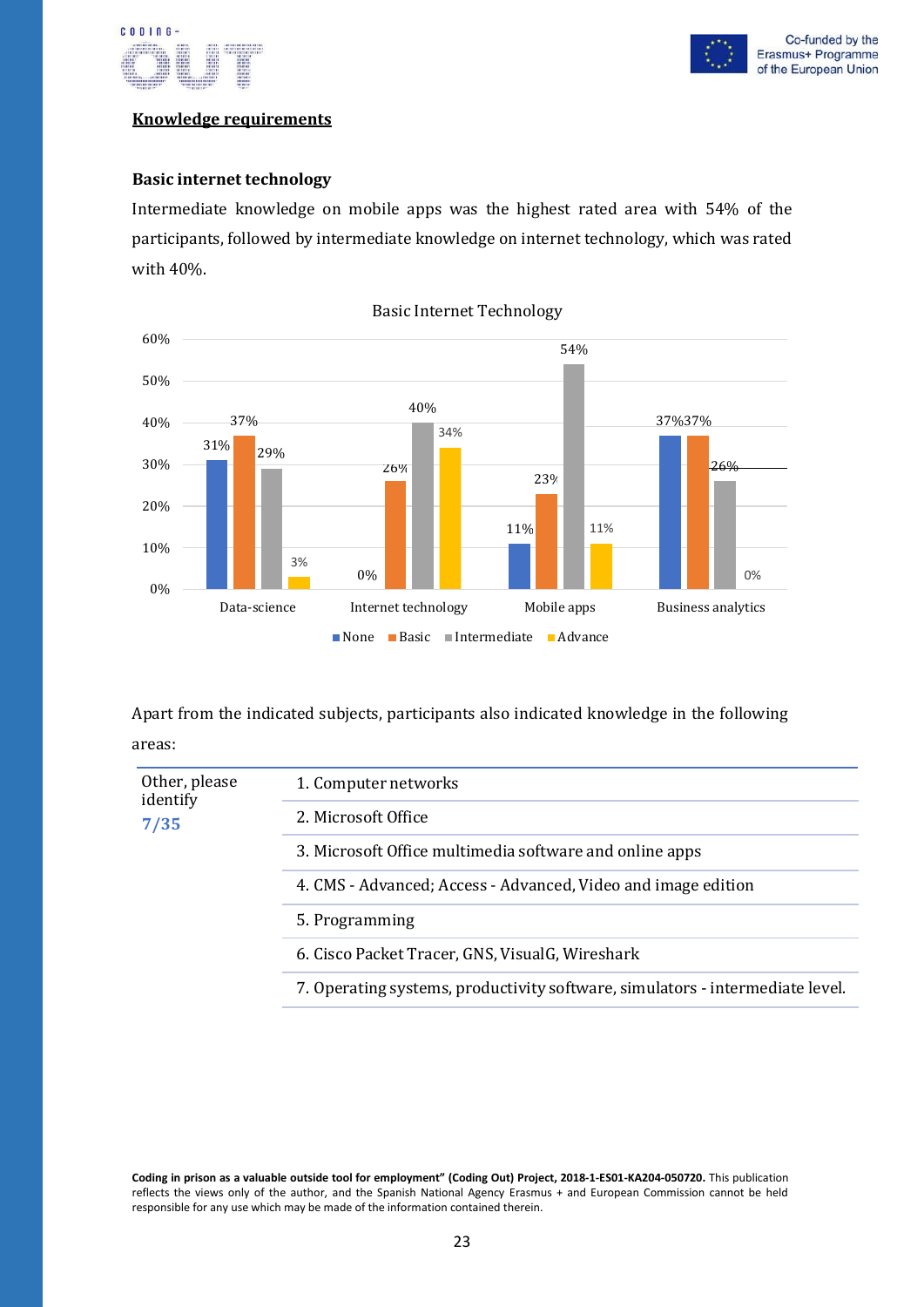

#### **Knowledge requirements**

#### **Basic internet technology**

Intermediate knowledge on mobile apps was the highest rated area with 54% of the participants, followed by intermediate knowledge on internet technology, which was rated with 40%.



Basic Internet Technology

Apart from the indicated subjects, participants also indicated knowledge in the following areas:

| Other, please<br>identify<br>7/35 | 1. Computer networks                                                          |
|-----------------------------------|-------------------------------------------------------------------------------|
|                                   | 2. Microsoft Office                                                           |
|                                   | 3. Microsoft Office multimedia software and online apps                       |
|                                   | 4. CMS - Advanced; Access - Advanced, Video and image edition                 |
|                                   | 5. Programming                                                                |
|                                   | 6. Cisco Packet Tracer, GNS, VisualG, Wireshark                               |
|                                   | 7. Operating systems, productivity software, simulators - intermediate level. |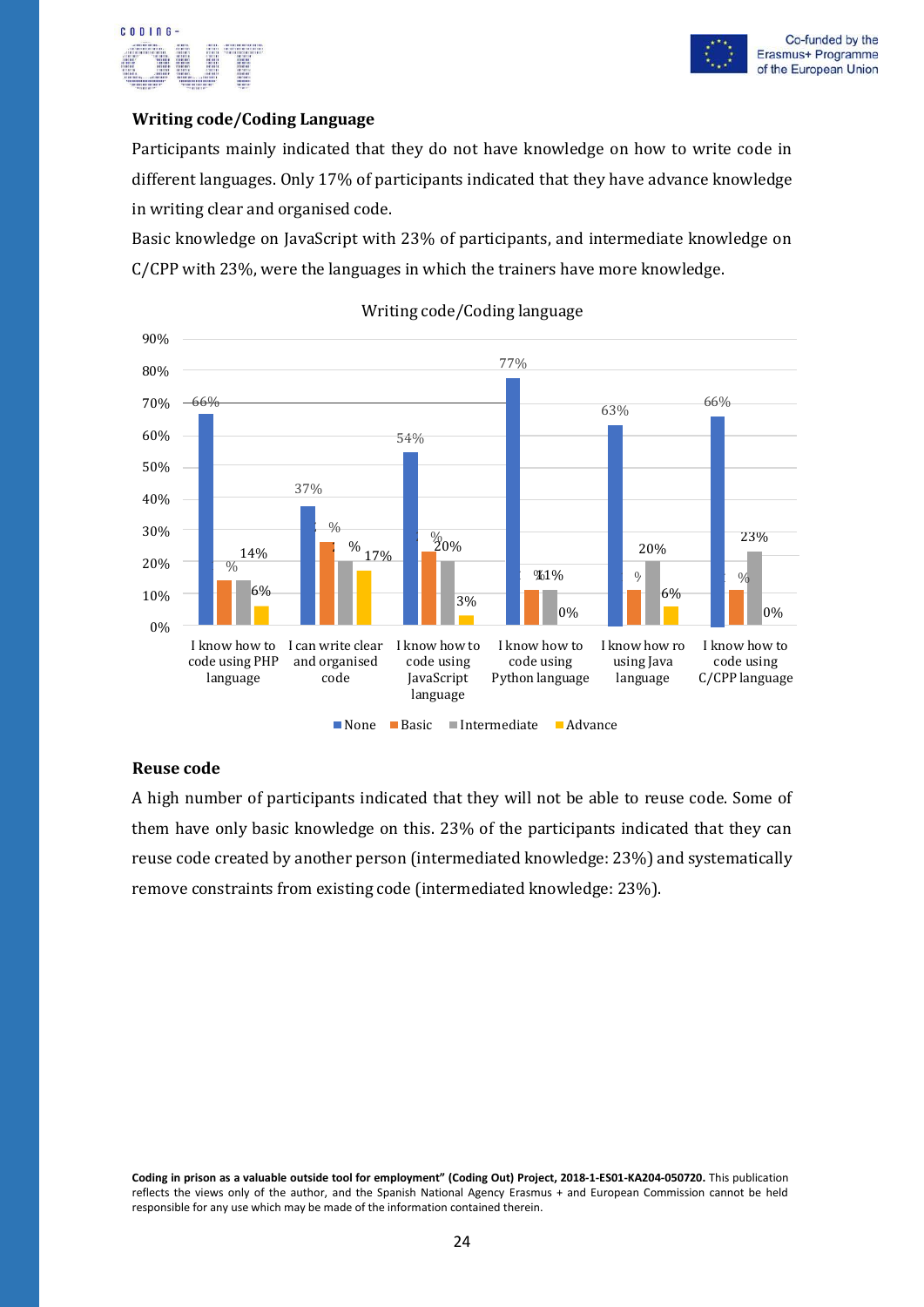

#### **Writing code/Coding Language**

Participants mainly indicated that they do not have knowledge on how to write code in different languages. Only 17% of participants indicated that they have advance knowledge in writing clear and organised code.

Basic knowledge on JavaScript with 23% of participants, and intermediate knowledge on C/CPP with 23%, were the languages in which the trainers have more knowledge.



#### Writing code/Coding language

#### **Reuse code**

A high number of participants indicated that they will not be able to reuse code. Some of them have only basic knowledge on this. 23% of the participants indicated that they can reuse code created by another person (intermediated knowledge: 23%) and systematically remove constraints from existing code (intermediated knowledge: 23%).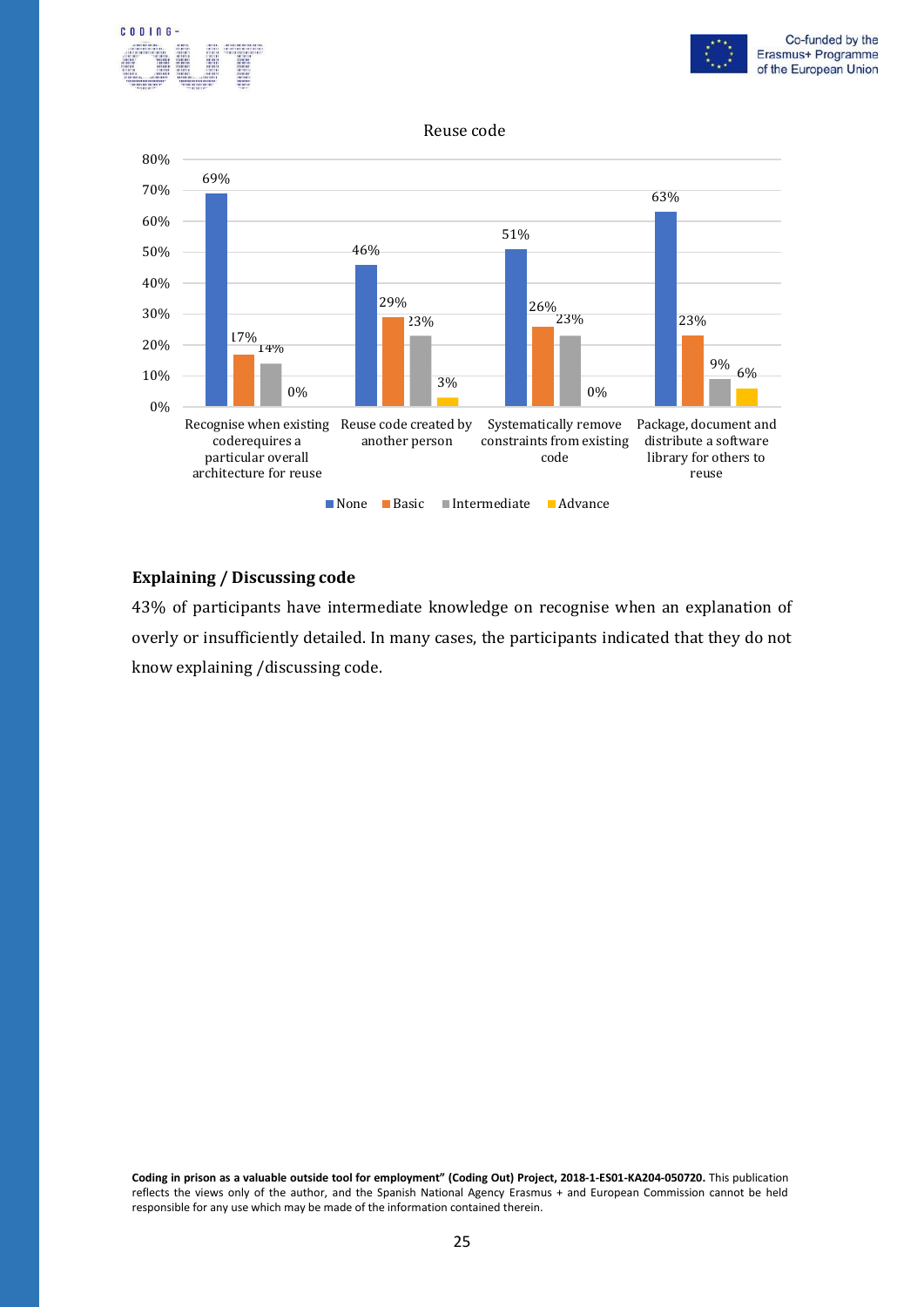



#### Reuse code



#### **Explaining / Discussing code**

43% of participants have intermediate knowledge on recognise when an explanation of overly or insufficiently detailed. In many cases, the participants indicated that they do not know explaining /discussing code.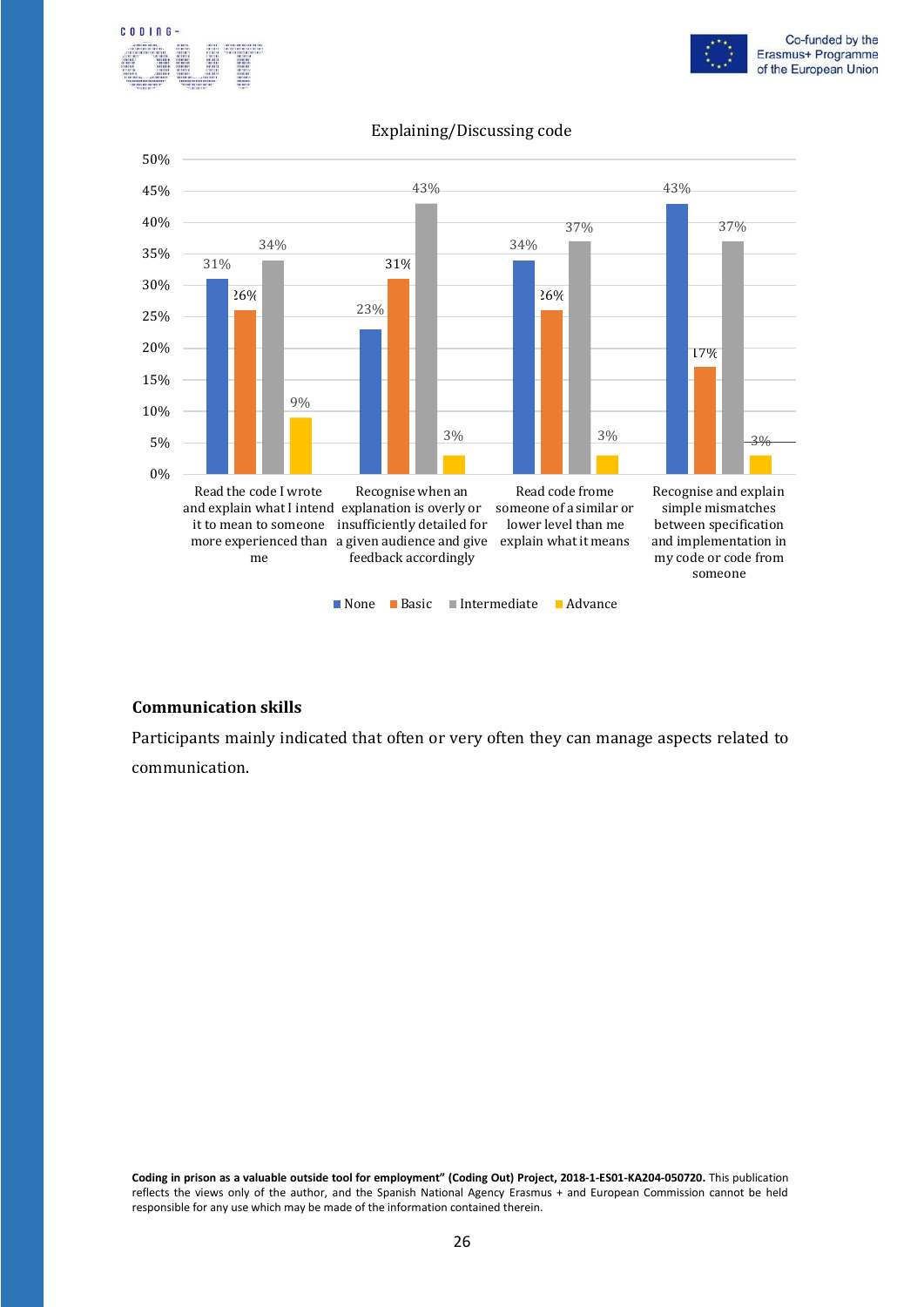





#### Explaining/Discussing code

#### **Communication skills**

Participants mainly indicated that often or very often they can manage aspects related to communication.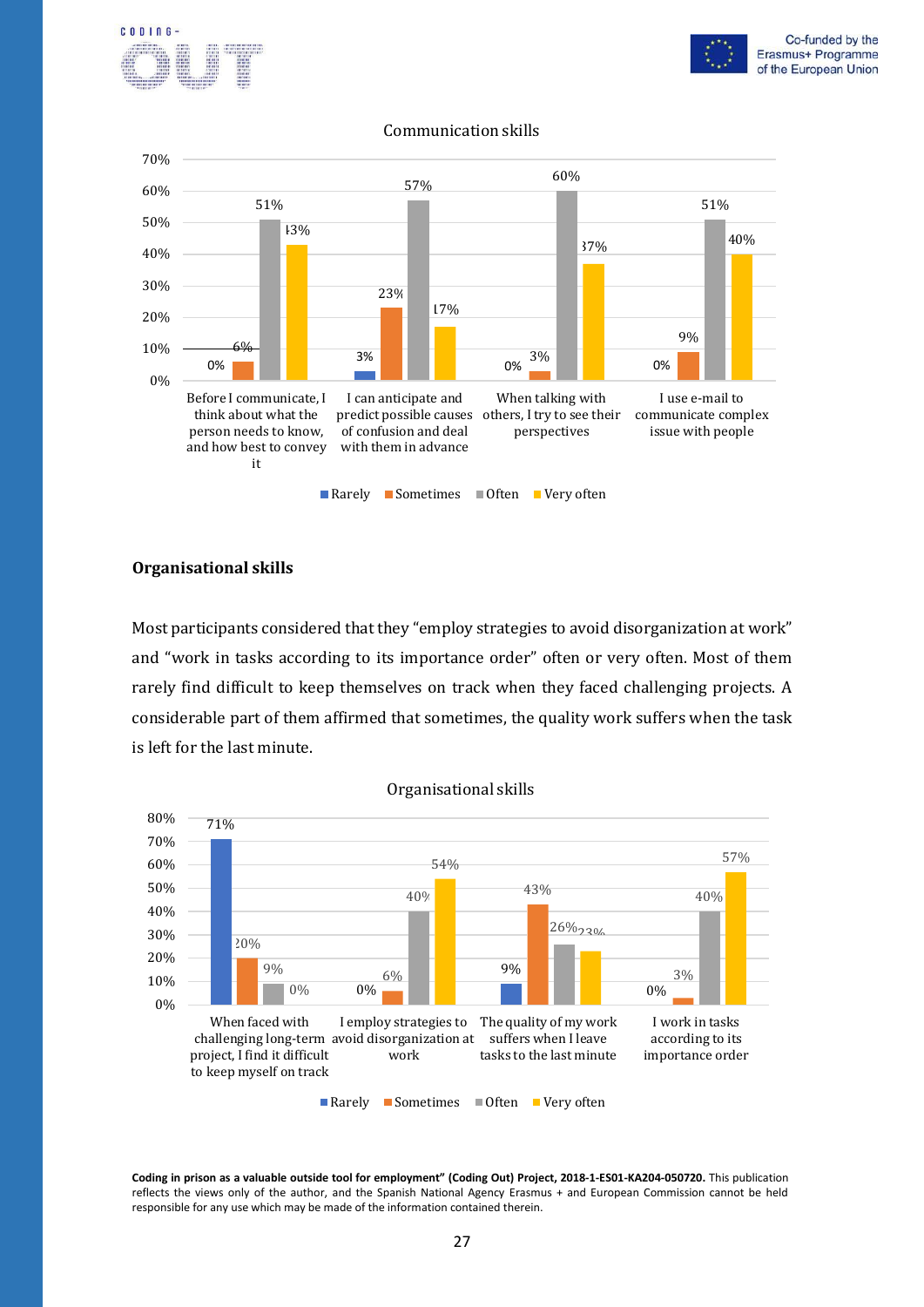





#### Communication skills

#### **Organisational skills**

Most participants considered that they "employ strategies to avoid disorganization at work" and "work in tasks according to its importance order" often or very often. Most of them rarely find difficult to keep themselves on track when they faced challenging projects. A considerable part of them affirmed that sometimes, the quality work suffers when the task is left for the last minute.



Organisational skills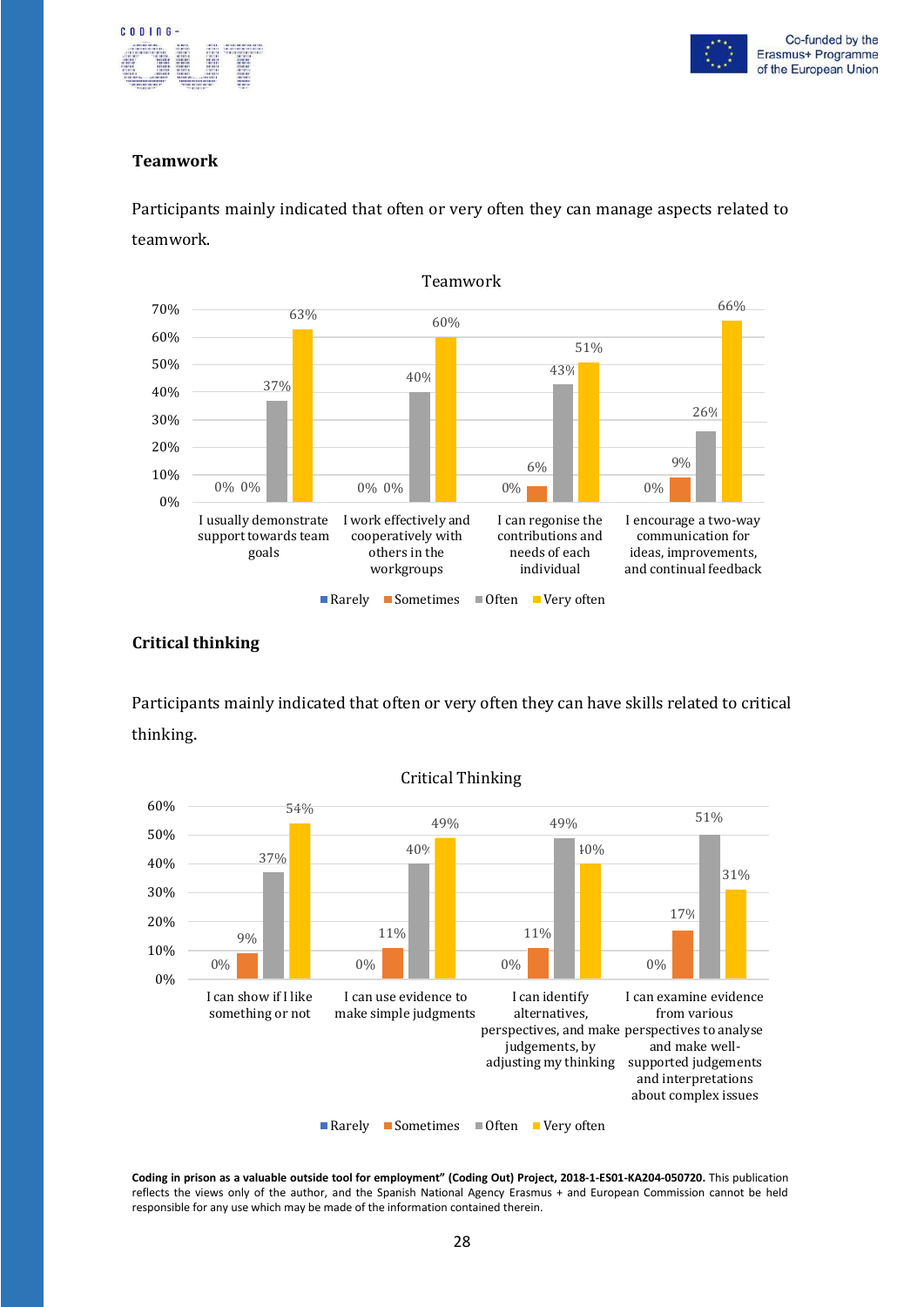



#### **Teamwork**

Participants mainly indicated that often or very often they can manage aspects related to teamwork.



#### **Critical thinking**

Participants mainly indicated that often or very often they can have skills related to critical thinking.



Critical Thinking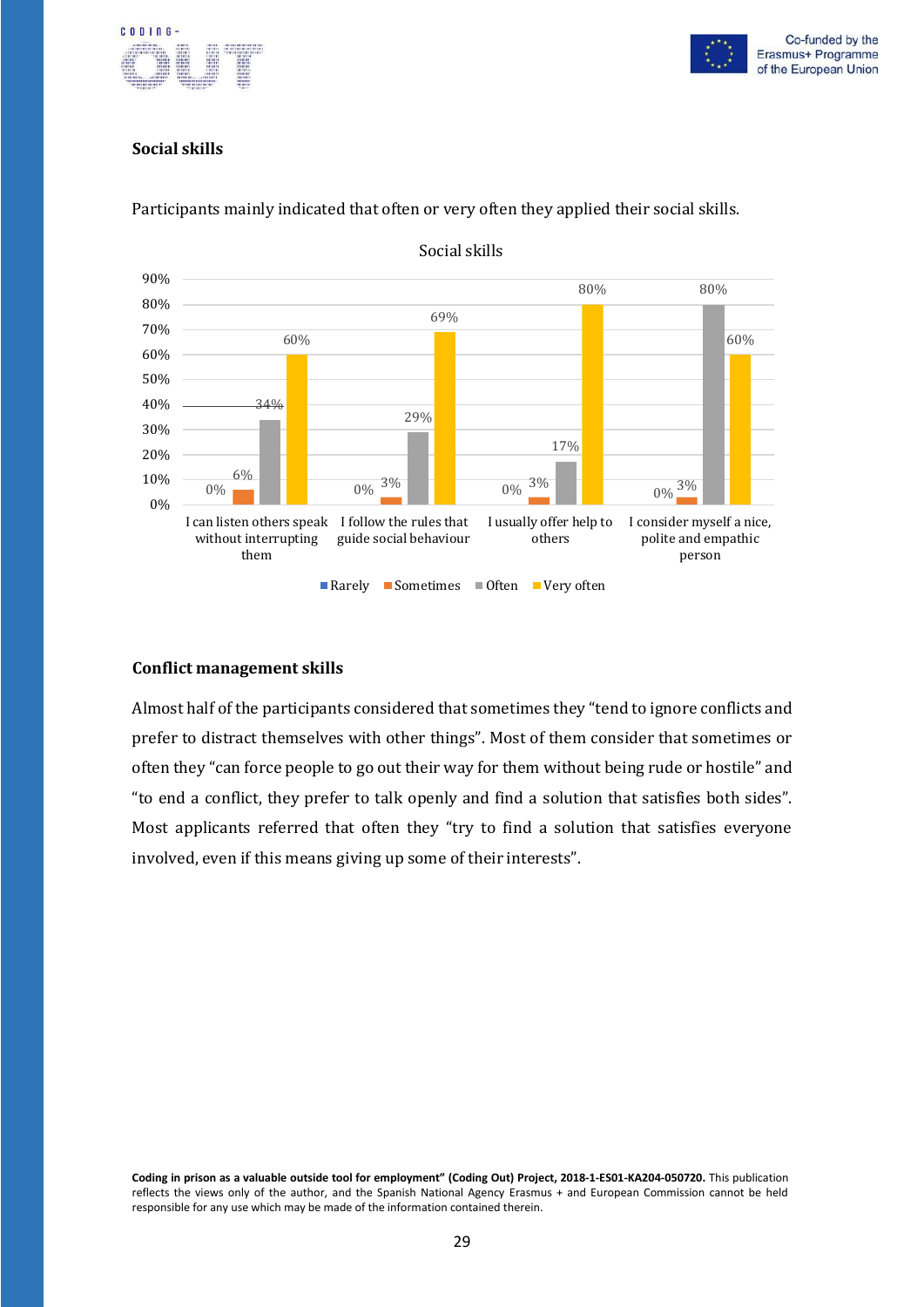



#### **Social skills**



Participants mainly indicated that often or very often they applied their social skills.

#### **Conflict management skills**

Almost half of the participants considered that sometimes they "tend to ignore conflicts and prefer to distract themselves with other things". Most of them consider that sometimes or often they "can force people to go out their way for them without being rude or hostile" and "to end a conflict, they prefer to talk openly and find a solution that satisfies both sides". Most applicants referred that often they "try to find a solution that satisfies everyone involved, even if this means giving up some of their interests".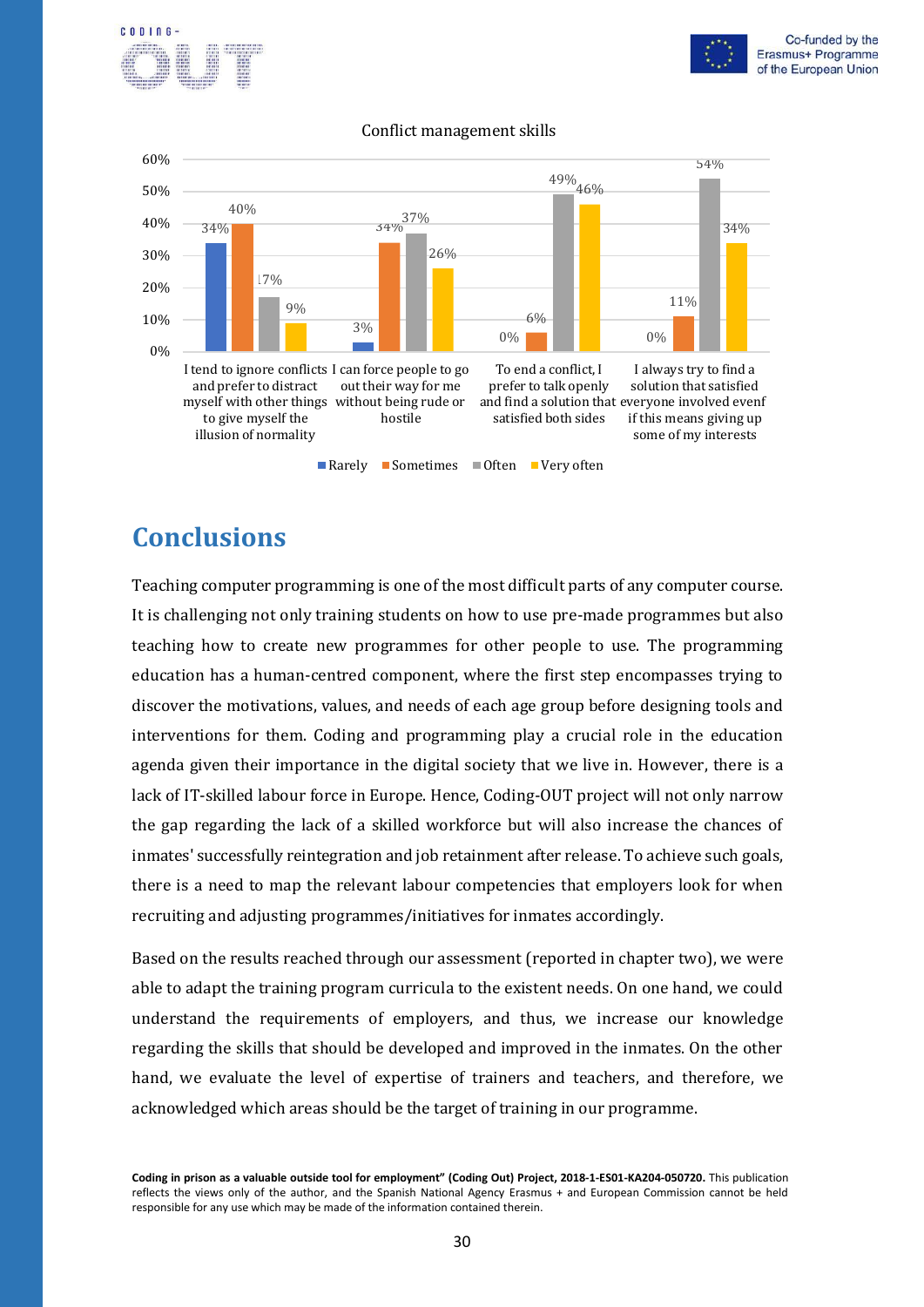



#### Conflict management skills



## <span id="page-31-0"></span>**Conclusions**

Teaching computer programming is one of the most difficult parts of any computer course. It is challenging not only training students on how to use pre-made programmes but also teaching how to create new programmes for other people to use. The programming education has a human-centred component, where the first step encompasses trying to discover the motivations, values, and needs of each age group before designing tools and interventions for them. Coding and programming play a crucial role in the education agenda given their importance in the digital society that we live in. However, there is a lack of IT-skilled labour force in Europe. Hence, Coding-OUT project will not only narrow the gap regarding the lack of a skilled workforce but will also increase the chances of inmates' successfully reintegration and job retainment after release. To achieve such goals, there is a need to map the relevant labour competencies that employers look for when recruiting and adjusting programmes/initiatives for inmates accordingly.

Based on the results reached through our assessment (reported in chapter two), we were able to adapt the training program curricula to the existent needs. On one hand, we could understand the requirements of employers, and thus, we increase our knowledge regarding the skills that should be developed and improved in the inmates. On the other hand, we evaluate the level of expertise of trainers and teachers, and therefore, we acknowledged which areas should be the target of training in our programme.

**Coding in prison as a valuable outside tool for employment" (Coding Out) Project, 2018-1-ES01-KA204-050720.** This publication reflects the views only of the author, and the Spanish National Agency Erasmus + and European Commission cannot be held responsible for any use which may be made of the information contained therein.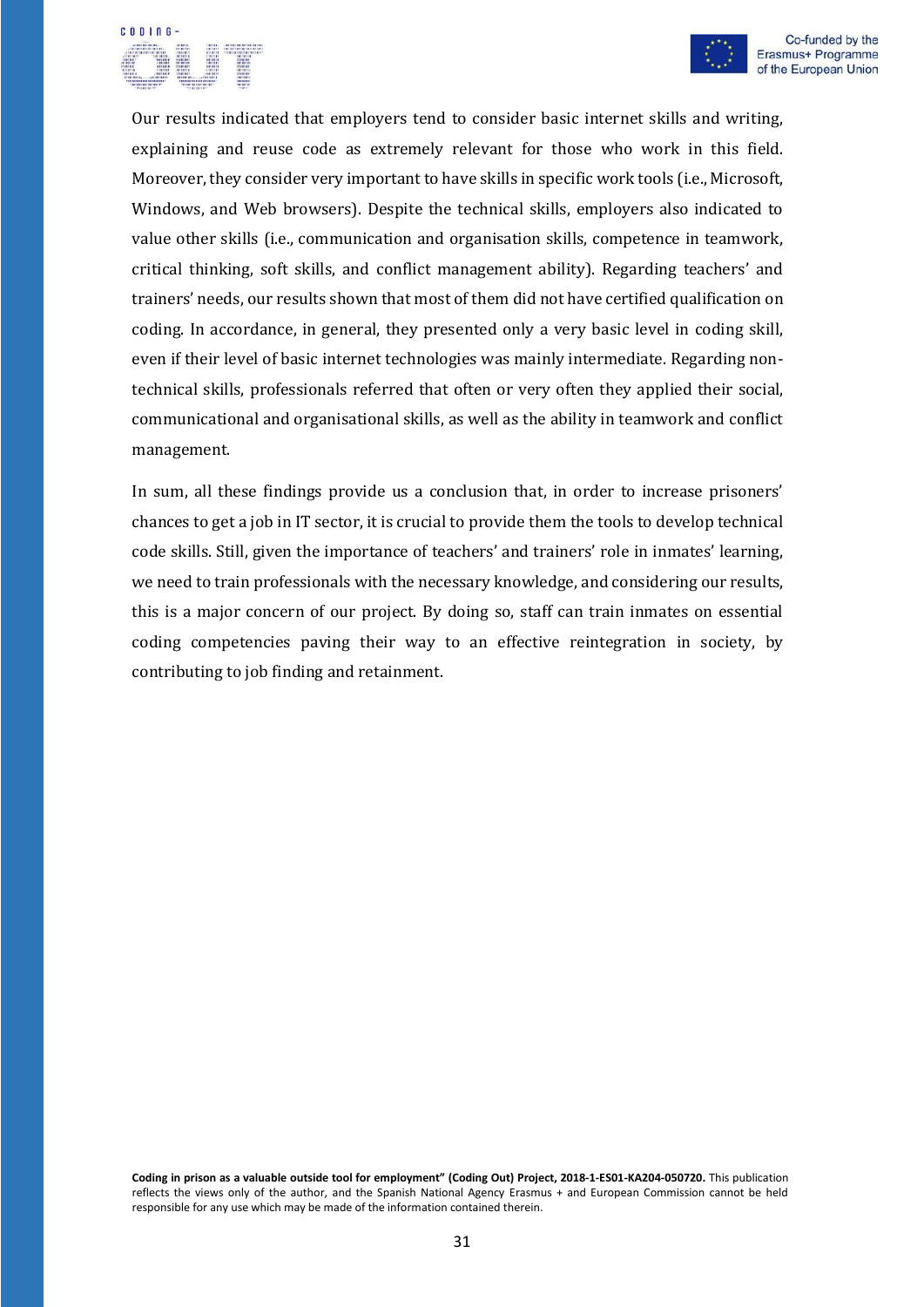



Our results indicated that employers tend to consider basic internet skills and writing, explaining and reuse code as extremely relevant for those who work in this field. Moreover, they consider very important to have skills in specific work tools (i.e., Microsoft, Windows, and Web browsers). Despite the technical skills, employers also indicated to value other skills (i.e., communication and organisation skills, competence in teamwork, critical thinking, soft skills, and conflict management ability). Regarding teachers' and trainers' needs, our results shown that most of them did not have certified qualification on coding. In accordance, in general, they presented only a very basic level in coding skill, even if their level of basic internet technologies was mainly intermediate. Regarding nontechnical skills, professionals referred that often or very often they applied their social, communicational and organisational skills, as well as the ability in teamwork and conflict management.

In sum, all these findings provide us a conclusion that, in order to increase prisoners' chances to get a job in IT sector, it is crucial to provide them the tools to develop technical code skills. Still, given the importance of teachers' and trainers' role in inmates' learning, we need to train professionals with the necessary knowledge, and considering our results, this is a major concern of our project. By doing so, staff can train inmates on essential coding competencies paving their way to an effective reintegration in society, by contributing to job finding and retainment.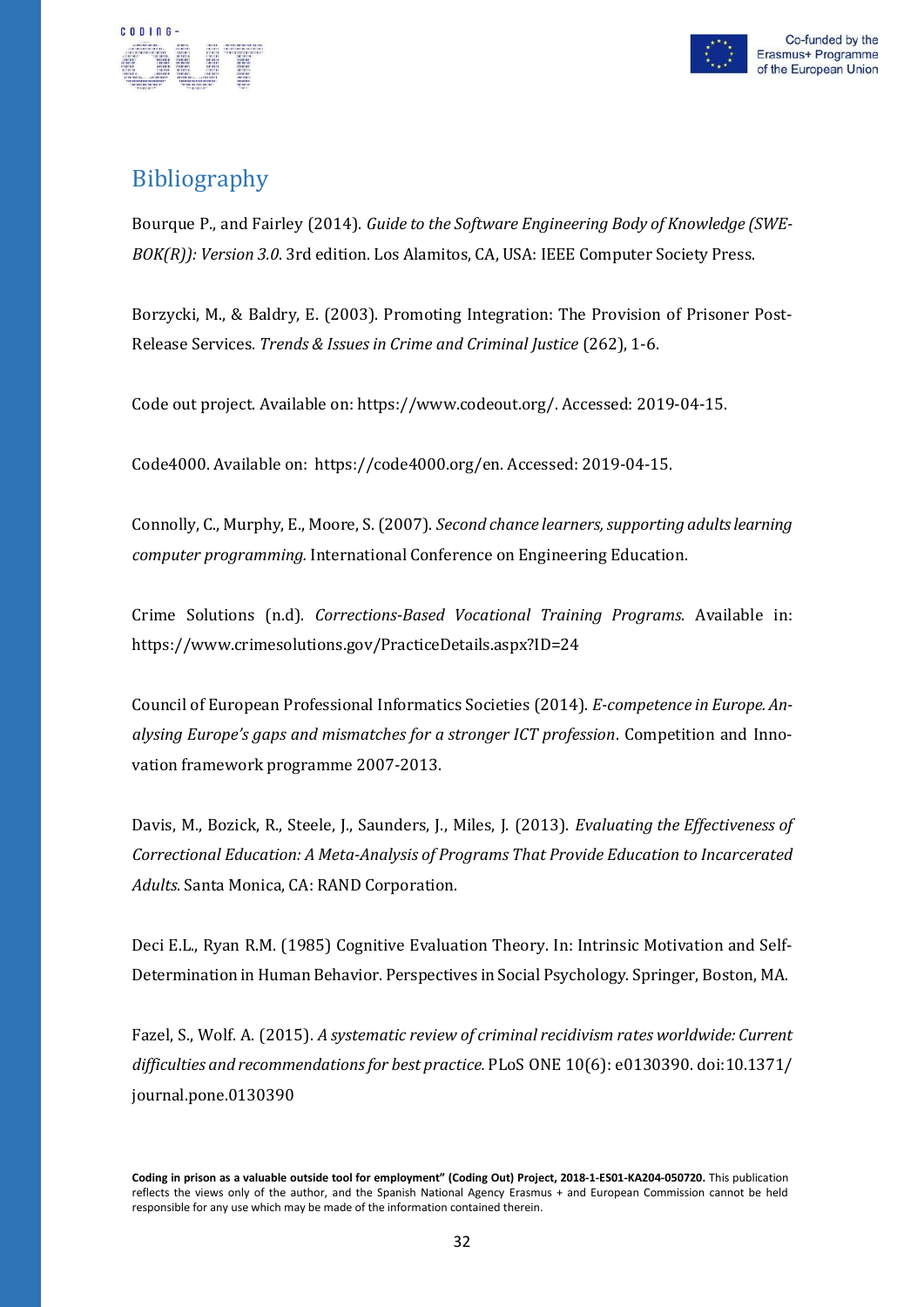



## <span id="page-33-0"></span>**Bibliography**

Bourque P., and Fairley (2014). *Guide to the Software Engineering Body of Knowledge (SWE-BOK(R)): Version 3.0*. 3rd edition. Los Alamitos, CA, USA: IEEE Computer Society Press.

Borzycki, M., & Baldry, E. (2003). Promoting Integration: The Provision of Prisoner Post-Release Services. *Trends & Issues in Crime and Criminal Justice* (262), 1-6.

Code out project. Available on: https[://www.codeout.org/. A](http://www.codeout.org/)ccessed: 2019-04-15.

Code4000. Available on: https://code4000.org/en. Accessed: 2019-04-15.

Connolly, C., Murphy, E., Moore, S. (2007). *Second chance learners,supporting adultslearning computer programming.* International Conference on Engineering Education.

Crime Solutions (n.d). *Corrections-Based Vocational Training Programs*. Available in: https[://www.crimesolutions.gov/PracticeDetails.aspx?ID=24](http://www.crimesolutions.gov/PracticeDetails.aspx?ID=24)

Council of European Professional Informatics Societies (2014). *E-competence in Europe. Analysing Europe's gaps and mismatches for a stronger ICT profession*. Competition and Innovation framework programme 2007-2013.

Davis, M., Bozick, R., Steele, J., Saunders, J., Miles, J. (2013). *Evaluating the Effectiveness of Correctional Education: A Meta-Analysis of Programs That Provide Education to Incarcerated Adults*. Santa Monica, CA: RAND Corporation.

Deci E.L., Ryan R.M. (1985) Cognitive Evaluation Theory. In: Intrinsic Motivation and Self-Determination in Human Behavior. Perspectives in Social Psychology. Springer, Boston, MA.

Fazel, S., Wolf. A. (2015). *A systematic review of criminal recidivism rates worldwide: Current difficulties and recommendationsfor best practice.* PLoS ONE 10(6): e0130390. doi:10.1371/ journal.pone.0130390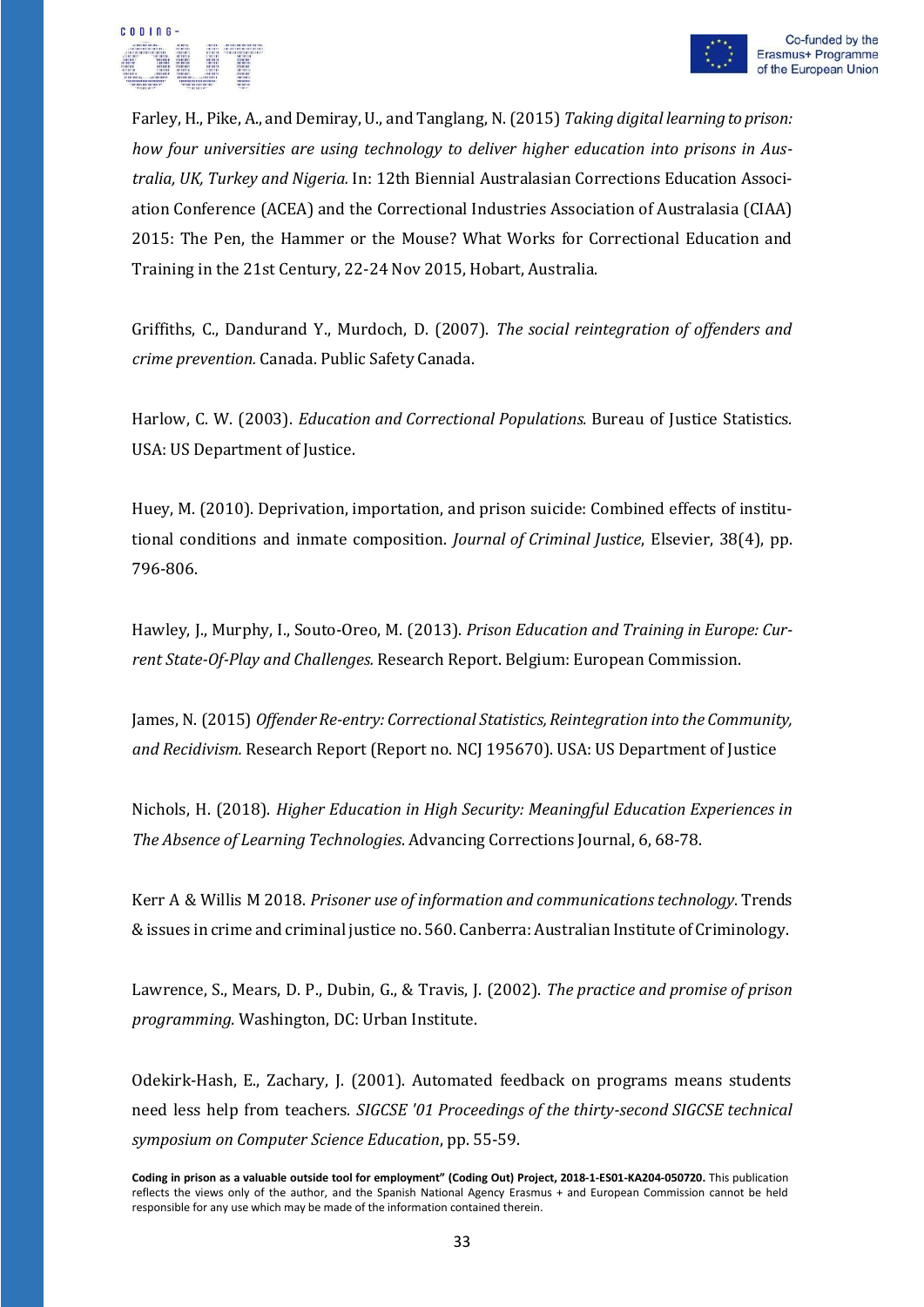

Farley, H., Pike, A., and Demiray, U., and Tanglang, N. (2015) *Taking digital learning to prison: how four universities are using technology to deliver higher education into prisons in Australia, UK, Turkey and Nigeria.* In: 12th Biennial Australasian Corrections Education Association Conference (ACEA) and the Correctional Industries Association of Australasia (CIAA) 2015: The Pen, the Hammer or the Mouse? What Works for Correctional Education and Training in the 21st Century, 22-24 Nov 2015, Hobart, Australia.

Griffiths, C., Dandurand Y., Murdoch, D. (2007). *The social reintegration of offenders and crime prevention.* Canada. Public Safety Canada.

Harlow, C. W. (2003). *Education and Correctional Populations.* Bureau of Justice Statistics. USA: US Department of Justice.

Huey, M. (2010). [Deprivation, importation, and prison suicide: Combined effects of institu](https://ideas.repec.org/a/eee/jcjust/v38yi4p796-806.html)[tional conditions and inmate composition.](https://ideas.repec.org/a/eee/jcjust/v38yi4p796-806.html) *[Journal of Criminal Justice](https://ideas.repec.org/s/eee/jcjust.html)*, Elsevier, 38(4), pp. 796-806.

Hawley, J., Murphy, I., Souto-Oreo, M. (2013). *Prison Education and Training in Europe: Current State-Of-Play and Challenges.* Research Report. Belgium: European Commission.

James, N. (2015) *Offender Re-entry: Correctional Statistics, Reintegration into the Community, and Recidivism.* Research Report (Report no. NCJ 195670). USA: US Department of Justice

Nichols, H. (2018). *Higher Education in High Security: Meaningful Education Experiences in The Absence of Learning Technologies*. Advancing Corrections Journal, 6, 68-78.

Kerr A & Willis M 2018. *Prisoner use of information and communicationstechnology*. Trends &issues in crime and criminal justice no. 560. Canberra: Australian Institute of Criminology.

Lawrence, S., Mears, D. P., Dubin, G., & Travis, J. (2002). *The practice and promise of prison programming.* Washington, DC: Urban Institute.

Odekirk-Hash, E., Zachary, J. (2001). Automated feedback on programs means students need less help from teachers. *SIGCSE '01 Proceedings of the thirty-second SIGCSE technical symposium on Computer Science Education*, pp. 55-59.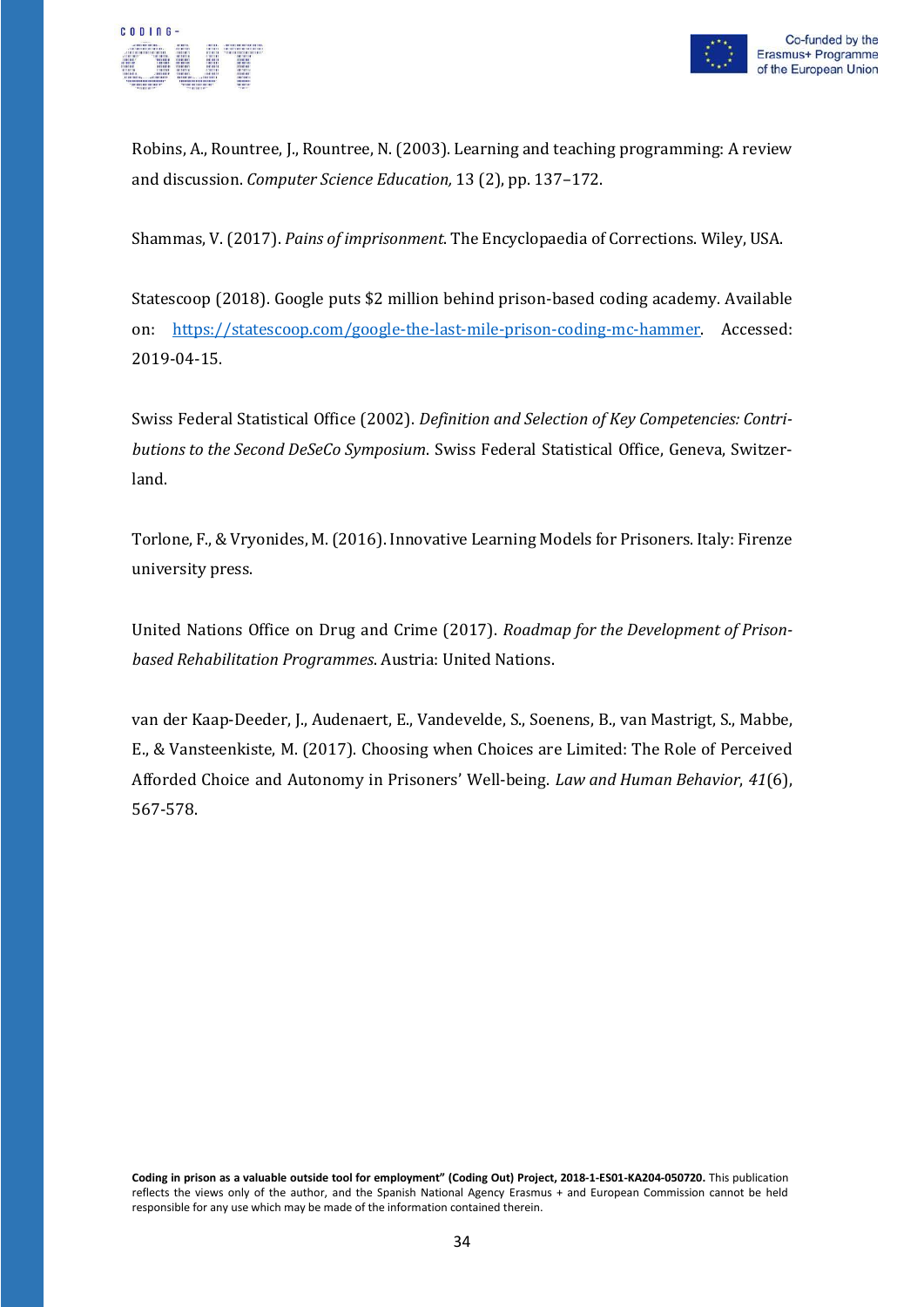

Robins, A., Rountree, J., Rountree, N. (2003). Learning and teaching programming: A review and discussion. *Computer Science Education,* 13 (2), pp. 137–172.

Shammas, V. (2017). *Pains of imprisonment*. The Encyclopaedia of Corrections. Wiley, USA.

Statescoop (2018). Google puts \$2 million behind prison-based coding academy. Available on: [https://statescoop.com/google-the-last-mile-prison-coding-mc-hammer.](https://statescoop.com/google-the-last-mile-prison-coding-mc-hammer) Accessed: 2019-04-15.

Swiss Federal Statistical Office (2002). *Definition and Selection of Key Competencies: Contributions to the Second DeSeCo Symposium*. Swiss Federal Statistical Office, Geneva, Switzerland.

Torlone, F., & Vryonides, M.(2016). Innovative Learning Models for Prisoners. Italy: Firenze university press.

United Nations Office on Drug and Crime (2017). *Roadmap for the Development of Prisonbased Rehabilitation Programmes*. Austria: United Nations.

van der Kaap-Deeder, J., Audenaert, E., Vandevelde, S., Soenens, [B., van Mastrigt, S., M](https://pure.au.dk/portal/en/persons/sarah-van-mastrigt(39c2c62d-113d-48e4-8a4e-c80f48ef325e).html)abbe, E., & Vansteenkiste, M. (2017). [Choosing when Choices are Limited: The Role of Perceived](https://pure.au.dk/portal/en/publications/choosing-when-choices-are-limited-the-role-of-perceived-afforded-choice-and-autonomy-in-prisoners-wellbeing(356a82eb-2b9e-4e26-b2ea-810c886ff4f3).html) [Afforded Choice and Autonomy in Prisoners'](https://pure.au.dk/portal/en/publications/choosing-when-choices-are-limited-the-role-of-perceived-afforded-choice-and-autonomy-in-prisoners-wellbeing(356a82eb-2b9e-4e26-b2ea-810c886ff4f3).html) Well-being. *Law and Human Behavior*, *41*(6), 567-578.